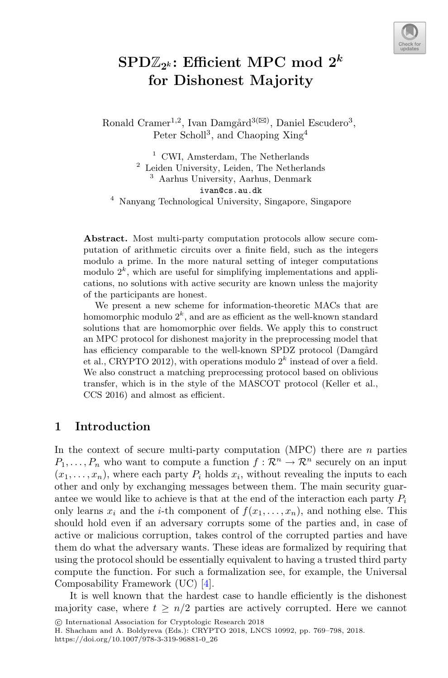

# $\text{SPD}\mathbb{Z}_{2^k}$ : Efficient MPC mod  $2^k$ **for Dishonest Majority**

Ronald Cramer<sup>1,2</sup>, Ivan Damgård<sup>3( $\boxtimes$ )</sup>, Daniel Escudero<sup>3</sup>, Peter Scholl<sup>3</sup>, and Chaoping Xing<sup>4</sup>

 CWI, Amsterdam, The Netherlands Leiden University, Leiden, The Netherlands Aarhus University, Aarhus, Denmark ivan@cs.au.dk Nanyang Technological University, Singapore, Singapore

**Abstract.** Most multi-party computation protocols allow secure computation of arithmetic circuits over a finite field, such as the integers modulo a prime. In the more natural setting of integer computations modulo  $2^k$ , which are useful for simplifying implementations and applications, no solutions with active security are known unless the majority of the participants are honest.

We present a new scheme for information-theoretic MACs that are homomorphic modulo  $2^k$ , and are as efficient as the well-known standard solutions that are homomorphic over fields. We apply this to construct an MPC protocol for dishonest majority in the preprocessing model that has efficiency comparable to the well-known SPDZ protocol (Damgård et al., CRYPTO 2012), with operations modulo  $2^k$  instead of over a field. We also construct a matching preprocessing protocol based on oblivious transfer, which is in the style of the MASCOT protocol (Keller et al., CCS 2016) and almost as efficient.

# **1 Introduction**

In the context of secure multi-party computation (MPC) there are  $n$  parties  $P_1,\ldots,P_n$  who want to compute a function  $f:\mathcal{R}^n\to\mathcal{R}^n$  securely on an input  $(x_1,...,x_n)$ , where each party  $P_i$  holds  $x_i$ , without revealing the inputs to each other and only by exchanging messages between them. The main security guarantee we would like to achieve is that at the end of the interaction each party  $P_i$ only learns  $x_i$  and the *i*-th component of  $f(x_1,...,x_n)$ , and nothing else. This should hold even if an adversary corrupts some of the parties and, in case of active or malicious corruption, takes control of the corrupted parties and have them do what the adversary wants. These ideas are formalized by requiring that using the protocol should be essentially equivalent to having a trusted third party compute the function. For such a formalization see, for example, the Universal Composability Framework (UC) [\[4\]](#page-28-0).

It is well known that the hardest case to handle efficiently is the dishonest majority case, where  $t > n/2$  parties are actively corrupted. Here we cannot

<sup>-</sup>c International Association for Cryptologic Research 2018

H. Shacham and A. Boldyreva (Eds.): CRYPTO 2018, LNCS 10992, pp. 769–798, 2018. https://doi.org/10.1007/978-3-319-96881-0\_26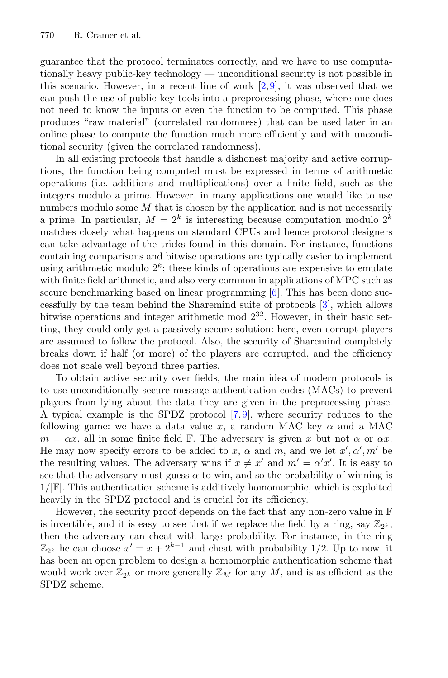guarantee that the protocol terminates correctly, and we have to use computationally heavy public-key technology — unconditional security is not possible in this scenario. However, in a recent line of work  $[2,9]$  $[2,9]$  $[2,9]$ , it was observed that we can push the use of public-key tools into a preprocessing phase, where one does not need to know the inputs or even the function to be computed. This phase produces "raw material" (correlated randomness) that can be used later in an online phase to compute the function much more efficiently and with unconditional security (given the correlated randomness).

In all existing protocols that handle a dishonest majority and active corruptions, the function being computed must be expressed in terms of arithmetic operations (i.e. additions and multiplications) over a finite field, such as the integers modulo a prime. However, in many applications one would like to use numbers modulo some  $M$  that is chosen by the application and is not necessarily a prime. In particular,  $M = 2^k$  is interesting because computation modulo  $2^k$ matches closely what happens on standard CPUs and hence protocol designers can take advantage of the tricks found in this domain. For instance, functions containing comparisons and bitwise operations are typically easier to implement using arithmetic modulo  $2^k$ ; these kinds of operations are expensive to emulate with finite field arithmetic, and also very common in applications of MPC such as secure benchmarking based on linear programming [\[6\]](#page-28-3). This has been done successfully by the team behind the Sharemind suite of protocols [\[3](#page-28-4)], which allows bitwise operations and integer arithmetic mod  $2^{32}$ . However, in their basic setting, they could only get a passively secure solution: here, even corrupt players are assumed to follow the protocol. Also, the security of Sharemind completely breaks down if half (or more) of the players are corrupted, and the efficiency does not scale well beyond three parties.

To obtain active security over fields, the main idea of modern protocols is to use unconditionally secure message authentication codes (MACs) to prevent players from lying about the data they are given in the preprocessing phase. A typical example is the SPDZ protocol [\[7,](#page-28-5)[9\]](#page-28-2), where security reduces to the following game: we have a data value x, a random MAC key  $\alpha$  and a MAC  $m = \alpha x$ , all in some finite field F. The adversary is given x but not  $\alpha$  or  $\alpha x$ . He may now specify errors to be added to x,  $\alpha$  and m, and we let  $x', \alpha', m'$  be the resulting values. The adversary wins if  $x \neq x'$  and  $m' = \alpha' x'$ . It is easy to see that the adversary must guess  $\alpha$  to win, and so the probability of winning is  $1/|F|$ . This authentication scheme is additively homomorphic, which is exploited heavily in the SPDZ protocol and is crucial for its efficiency.

However, the security proof depends on the fact that any non-zero value in  $\mathbb F$ is invertible, and it is easy to see that if we replace the field by a ring, say  $\mathbb{Z}_{2^k}$ , then the adversary can cheat with large probability. For instance, in the ring  $\mathbb{Z}_{2^k}$  he can choose  $x' = x + 2^{k-1}$  and cheat with probability 1/2. Up to now, it has been an open problem to design a homomorphic authentication scheme that would work over  $\mathbb{Z}_{2^k}$  or more generally  $\mathbb{Z}_M$  for any M, and is as efficient as the SPDZ scheme.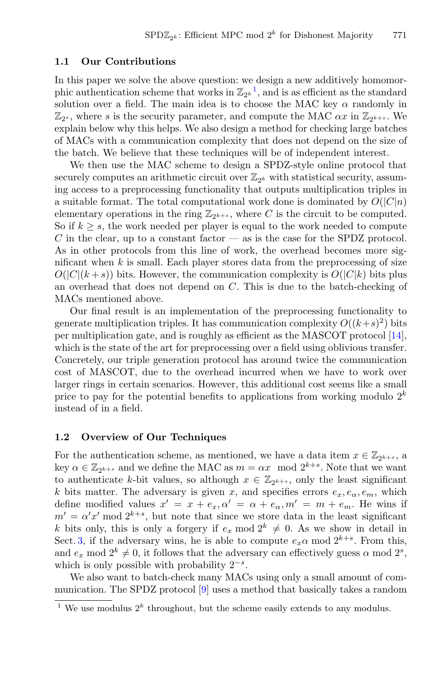### **1.1 Our Contributions**

In this paper we solve the above question: we design a new additively homomorphic authentication scheme that works in  $\mathbb{Z}_{2^k}^1$  $\mathbb{Z}_{2^k}^1$ , and is as efficient as the standard solution over a field. The main idea is to choose the MAC key  $\alpha$  randomly in  $\mathbb{Z}_{2^s}$ , where s is the security parameter, and compute the MAC  $\alpha x$  in  $\mathbb{Z}_{2^{k+s}}$ . We explain below why this helps. We also design a method for checking large batches of MACs with a communication complexity that does not depend on the size of the batch. We believe that these techniques will be of independent interest.

We then use the MAC scheme to design a SPDZ-style online protocol that securely computes an arithmetic circuit over  $\mathbb{Z}_{2^k}$  with statistical security, assuming access to a preprocessing functionality that outputs multiplication triples in a suitable format. The total computational work done is dominated by  $O(|C|n)$ elementary operations in the ring  $\mathbb{Z}_{2^{k+s}}$ , where C is the circuit to be computed. So if  $k \geq s$ , the work needed per player is equal to the work needed to compute  $C$  in the clear, up to a constant factor — as is the case for the SPDZ protocol. As in other protocols from this line of work, the overhead becomes more significant when  $k$  is small. Each player stores data from the preprocessing of size  $O(|C|(k+s))$  bits. However, the communication complexity is  $O(|C|k)$  bits plus an overhead that does not depend on C. This is due to the batch-checking of MACs mentioned above.

Our final result is an implementation of the preprocessing functionality to generate multiplication triples. It has communication complexity  $O((k+s)^2)$  bits per multiplication gate, and is roughly as efficient as the MASCOT protocol [\[14\]](#page-29-0), which is the state of the art for preprocessing over a field using oblivious transfer. Concretely, our triple generation protocol has around twice the communication cost of MASCOT, due to the overhead incurred when we have to work over larger rings in certain scenarios. However, this additional cost seems like a small price to pay for the potential benefits to applications from working modulo  $2^k$ instead of in a field.

### **1.2 Overview of Our Techniques**

For the authentication scheme, as mentioned, we have a data item  $x \in \mathbb{Z}_{2^{k+s}}$ , a key  $\alpha \in \mathbb{Z}_{2^{k+s}}$  and we define the MAC as  $m = \alpha x \mod 2^{k+s}$ . Note that we want to authenticate k-bit values, so although  $x \in \mathbb{Z}_{2^{k+s}}$ , only the least significant k bits matter. The adversary is given x, and specifies errors  $e_x, e_\alpha, e_m$ , which define modified values  $x' = x + e_x, \alpha' = \alpha + e_\alpha, m' = m + e_m$ . He wins if  $m' = \alpha' x' \mod 2^{k+s}$ , but note that since we store data in the least significant k bits only, this is only a forgery if  $e_x \mod 2^k \neq 0$ . As we show in detail in Sect. [3,](#page-5-0) if the adversary wins, he is able to compute  $e_x\alpha$  mod  $2^{k+s}$ . From this, and  $e_x \mod 2^k \neq 0$ , it follows that the adversary can effectively guess  $\alpha \mod 2^s$ , which is only possible with probability  $2^{-s}$ .

We also want to batch-check many MACs using only a small amount of communication. The SPDZ protocol [\[9\]](#page-28-2) uses a method that basically takes a random

<span id="page-2-0"></span><sup>&</sup>lt;sup>1</sup> We use modulus  $2<sup>k</sup>$  throughout, but the scheme easily extends to any modulus.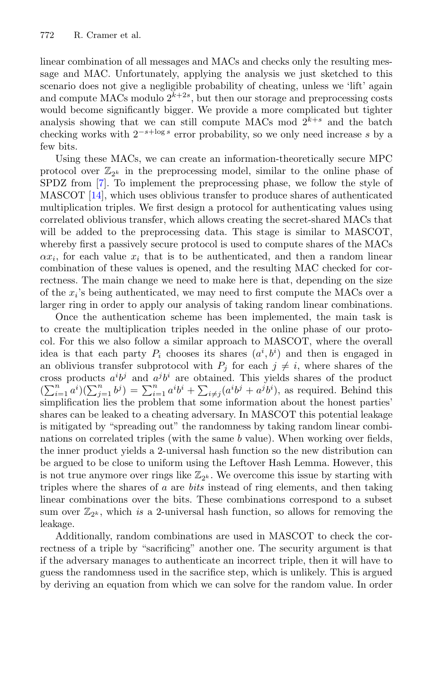linear combination of all messages and MACs and checks only the resulting message and MAC. Unfortunately, applying the analysis we just sketched to this scenario does not give a negligible probability of cheating, unless we 'lift' again and compute MACs modulo  $2^{k+2s}$ , but then our storage and preprocessing costs would become significantly bigger. We provide a more complicated but tighter analysis showing that we can still compute MACs mod  $2^{k+s}$  and the batch checking works with  $2^{-s+\log s}$  error probability, so we only need increase s by a few bits.

Using these MACs, we can create an information-theoretically secure MPC protocol over  $\mathbb{Z}_{2^k}$  in the preprocessing model, similar to the online phase of SPDZ from [\[7\]](#page-28-5). To implement the preprocessing phase, we follow the style of MASCOT [\[14](#page-29-0)], which uses oblivious transfer to produce shares of authenticated multiplication triples. We first design a protocol for authenticating values using correlated oblivious transfer, which allows creating the secret-shared MACs that will be added to the preprocessing data. This stage is similar to MASCOT, whereby first a passively secure protocol is used to compute shares of the MACs  $\alpha x_i$ , for each value  $x_i$  that is to be authenticated, and then a random linear combination of these values is opened, and the resulting MAC checked for correctness. The main change we need to make here is that, depending on the size of the  $x_i$ 's being authenticated, we may need to first compute the MACs over a larger ring in order to apply our analysis of taking random linear combinations.

Once the authentication scheme has been implemented, the main task is to create the multiplication triples needed in the online phase of our protocol. For this we also follow a similar approach to MASCOT, where the overall idea is that each party  $P_i$  chooses its shares  $(a^i, b^i)$  and then is engaged in an oblivious transfer subprotocol with  $P_i$  for each  $j \neq i$ , where shares of the cross products  $a^i b^j$  and  $a^j b^i$  are obtained. This yields shares of the product  $(\sum_{i=1}^n a^i)(\sum_{j=1}^n b^j) = \sum_{i=1}^n a^i b^i + \sum_{i \neq j} (a^i b^j + a^j b^i)$ , as required. Behind this simplification lies the problem that some information about the honest parties' shares can be leaked to a cheating adversary. In MASCOT this potential leakage is mitigated by "spreading out" the randomness by taking random linear combinations on correlated triples (with the same b value). When working over fields, the inner product yields a 2-universal hash function so the new distribution can be argued to be close to uniform using the Leftover Hash Lemma. However, this is not true anymore over rings like  $\mathbb{Z}_{2^k}$ . We overcome this issue by starting with triples where the shares of a are *bits* instead of ring elements, and then taking linear combinations over the bits. These combinations correspond to a subset sum over  $\mathbb{Z}_{2^k}$ , which *is* a 2-universal hash function, so allows for removing the leakage.

Additionally, random combinations are used in MASCOT to check the correctness of a triple by "sacrificing" another one. The security argument is that if the adversary manages to authenticate an incorrect triple, then it will have to guess the randomness used in the sacrifice step, which is unlikely. This is argued by deriving an equation from which we can solve for the random value. In order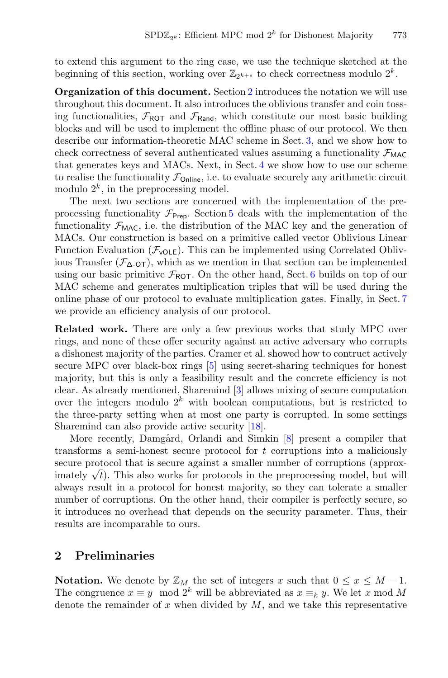to extend this argument to the ring case, we use the technique sketched at the beginning of this section, working over  $\mathbb{Z}_{2^{k+s}}$  to check correctness modulo  $2^k$ .

**Organization of this document.** Section [2](#page-4-0) introduces the notation we will use throughout this document. It also introduces the oblivious transfer and coin tossing functionalities,  $\mathcal{F}_{\text{ROT}}$  and  $\mathcal{F}_{\text{Rand}}$ , which constitute our most basic building blocks and will be used to implement the offline phase of our protocol. We then describe our information-theoretic MAC scheme in Sect. [3,](#page-5-0) and we show how to check correctness of several authenticated values assuming a functionality  $\mathcal{F}_{MAC}$ that generates keys and MACs. Next, in Sect. [4](#page-12-0) we show how to use our scheme to realise the functionality  $\mathcal{F}_{\text{Online}}$ , i.e. to evaluate securely any arithmetic circuit modulo  $2^k$ , in the preprocessing model.

The next two sections are concerned with the implementation of the preprocessing functionality  $\mathcal{F}_{\text{Prep}}$ . Section [5](#page-14-0) deals with the implementation of the functionality  $\mathcal{F}_{\text{MAC}}$ , i.e. the distribution of the MAC key and the generation of MACs. Our construction is based on a primitive called vector Oblivious Linear Function Evaluation  $(\mathcal{F}_{\text{volE}})$ . This can be implemented using Correlated Oblivious Transfer  $(\mathcal{F}_{\Delta-OT})$ , which as we mention in that section can be implemented using our basic primitive  $\mathcal{F}_{\text{ROT}}$ . On the other hand, Sect. [6](#page-19-0) builds on top of our MAC scheme and generates multiplication triples that will be used during the online phase of our protocol to evaluate multiplication gates. Finally, in Sect. [7](#page-25-0) we provide an efficiency analysis of our protocol.

**Related work.** There are only a few previous works that study MPC over rings, and none of these offer security against an active adversary who corrupts a dishonest majority of the parties. Cramer et al. showed how to contruct actively secure MPC over black-box rings [\[5](#page-28-6)] using secret-sharing techniques for honest majority, but this is only a feasibility result and the concrete efficiency is not clear. As already mentioned, Sharemind [\[3\]](#page-28-4) allows mixing of secure computation over the integers modulo  $2^k$  with boolean computations, but is restricted to the three-party setting when at most one party is corrupted. In some settings Sharemind can also provide active security [\[18\]](#page-29-1).

More recently, Damgård, Orlandi and Simkin [\[8\]](#page-28-7) present a compiler that transforms a semi-honest secure protocol for t corruptions into a maliciously secure protocol that is secure against a smaller number of corruptions (approximately  $\sqrt{t}$ . This also works for protocols in the preprocessing model, but will always result in a protocol for honest majority, so they can tolerate a smaller number of corruptions. On the other hand, their compiler is perfectly secure, so it introduces no overhead that depends on the security parameter. Thus, their results are incomparable to ours.

### <span id="page-4-0"></span>**2 Preliminaries**

**Notation.** We denote by  $\mathbb{Z}_M$  the set of integers x such that  $0 \le x \le M - 1$ . The congruence  $x \equiv y \mod 2^k$  will be abbreviated as  $x \equiv_k y$ . We let x mod M denote the remainder of  $x$  when divided by  $M$ , and we take this representative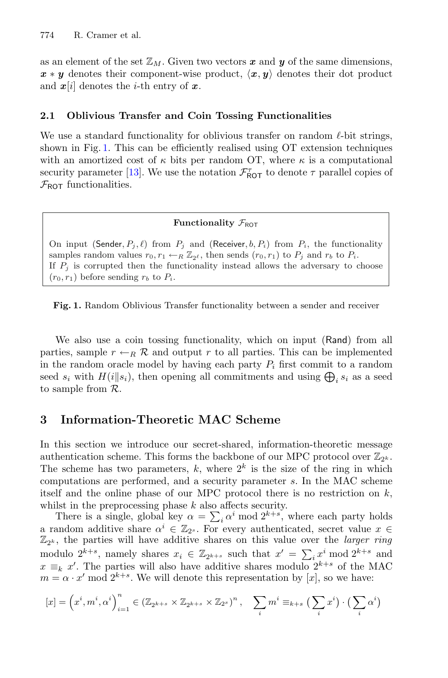as an element of the set  $\mathbb{Z}_M$ . Given two vectors x and y of the same dimensions,  $x * y$  denotes their component-wise product,  $\langle x, y \rangle$  denotes their dot product and  $x[i]$  denotes the *i*-th entry of  $x$ .

### **2.1 Oblivious Transfer and Coin Tossing Functionalities**

We use a standard functionality for oblivious transfer on random  $\ell$ -bit strings, shown in Fig. [1.](#page-5-1) This can be efficiently realised using OT extension techniques with an amortized cost of  $\kappa$  bits per random OT, where  $\kappa$  is a computational security parameter [\[13](#page-28-8)]. We use the notation  $\mathcal{F}_{\text{ROT}}^{\tau}$  to denote  $\tau$  parallel copies of  $\mathcal{F}_{\text{ROT}}$  functionalities.

### **Functionality**  $\mathcal{F}_{\text{ROT}}$

On input (Sender,  $P_j$ ,  $\ell$ ) from  $P_j$  and (Receiver,  $b, P_i$ ) from  $P_i$ , the functionality samples random values  $r_0, r_1 \leftarrow_R \mathbb{Z}_{2^{\ell}}$ , then sends  $(r_0, r_1)$  to  $P_j$  and  $r_b$  to  $P_i$ . If  $P_j$  is corrupted then the functionality instead allows the adversary to choose  $(r_0, r_1)$  before sending  $r_b$  to  $P_i$ .

<span id="page-5-1"></span>**Fig. 1.** Random Oblivious Transfer functionality between a sender and receiver

We also use a coin tossing functionality, which on input (Rand) from all parties, sample  $r \leftarrow_R \mathcal{R}$  and output r to all parties. This can be implemented in the random oracle model by having each party  $P_i$  first commit to a random seed  $s_i$  with  $H(i||s_i)$ , then opening all commitments and using  $\bigoplus_i s_i$  as a seed to sample from  $\mathcal{R}$ .

### <span id="page-5-0"></span>**3 Information-Theoretic MAC Scheme**

In this section we introduce our secret-shared, information-theoretic message authentication scheme. This forms the backbone of our MPC protocol over  $\mathbb{Z}_{2^k}$ . The scheme has two parameters, k, where  $2^k$  is the size of the ring in which computations are performed, and a security parameter s. In the MAC scheme itself and the online phase of our MPC protocol there is no restriction on  $k$ , whilst in the preprocessing phase  $k$  also affects security.

There is a single, global key  $\alpha = \sum_i \alpha^i \mod 2^{k+s}$ , where each party holds a random additive share  $\alpha^i \in \mathbb{Z}_{2^s}$ . For every authenticated, secret value  $x \in$  $\mathbb{Z}_{2^k}$ , the parties will have additive shares on this value over the *larger ring* modulo  $2^{k+s}$ , namely shares  $x_i \in \mathbb{Z}_{2^{k+s}}$  such that  $x' = \sum_i x^i \mod 2^{k+s}$  and  $x \equiv_k x'$ . The parties will also have additive shares modulo  $2^{k+s}$  of the MAC  $m = \alpha \cdot x'$  mod  $2^{k+s}$ . We will denote this representation by [x], so we have:

$$
[x] = \left(x^i, m^i, \alpha^i\right)_{i=1}^n \in \left(\mathbb{Z}_{2^{k+s}} \times \mathbb{Z}_{2^{k+s}} \times \mathbb{Z}_{2^s}\right)^n, \quad \sum_i m^i \equiv_{k+s} \left(\sum_i x^i\right) \cdot \left(\sum_i \alpha^i\right)
$$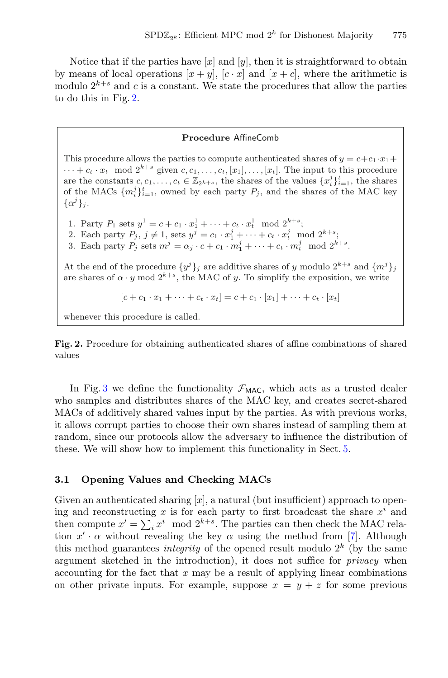Notice that if the parties have  $[x]$  and  $[y]$ , then it is straightforward to obtain by means of local operations  $[x + y]$ ,  $[c \cdot x]$  and  $[x + c]$ , where the arithmetic is modulo  $2^{k+s}$  and c is a constant. We state the procedures that allow the parties to do this in Fig. [2.](#page-6-0)

### **Procedure** AffineComb

This procedure allows the parties to compute authenticated shares of  $y = c+c_1 \cdot x_1 +$  $\cdots + c_t \cdot x_t \mod 2^{k+s}$  given  $c, c_1, \ldots, c_t, [x_1], \ldots, [x_t]$ . The input to this procedure are the constants  $c, c_1, \ldots, c_t \in \mathbb{Z}_{2^{k+s}}$ , the shares of the values  $\{x_i^j\}_{i=1}^t$ , the shares of the MACs  $\{m_i^j\}_{i=1}^t$ , owned by each party  $P_j$ , and the shares of the MAC key  $\{\alpha^j\}_i$ .

1. Party  $P_1$  sets  $y^1 = c + c_1 \cdot x_1^1 + \cdots + c_t \cdot x_t^1 \mod 2^{k+s};$ 

2. Each party  $P_j$ ,  $j \neq 1$ , sets  $y^j = c_1 \cdot x_1^j + \cdots + c_t \cdot x_t^j \mod 2^{k+s}$ ;

3. Each party  $P_j$  sets  $m^j = \alpha_j \cdot c + c_1 \cdot m_1^j + \cdots + c_t \cdot m_t^j \mod 2^{k+s}$ .

At the end of the procedure  $\{y^j\}_j$  are additive shares of y modulo  $2^{k+s}$  and  $\{m^j\}_j$ are shares of  $\alpha \cdot y \mod 2^{k+s}$ , the MAC of y. To simplify the exposition, we write

$$
[c + c_1 \cdot x_1 + \dots + c_t \cdot x_t] = c + c_1 \cdot [x_1] + \dots + c_t \cdot [x_t]
$$

whenever this procedure is called.

<span id="page-6-0"></span>**Fig. 2.** Procedure for obtaining authenticated shares of affine combinations of shared values

In Fig. [3](#page-7-0) we define the functionality  $\mathcal{F}_{MAC}$ , which acts as a trusted dealer who samples and distributes shares of the MAC key, and creates secret-shared MACs of additively shared values input by the parties. As with previous works, it allows corrupt parties to choose their own shares instead of sampling them at random, since our protocols allow the adversary to influence the distribution of these. We will show how to implement this functionality in Sect. [5.](#page-14-0)

### <span id="page-6-1"></span>**3.1 Opening Values and Checking MACs**

Given an authenticated sharing  $[x]$ , a natural (but insufficient) approach to opening and reconstructing x is for each party to first broadcast the share  $x^i$  and then compute  $x' = \sum_i x^i \mod 2^{k+s}$ . The parties can then check the MAC relation  $x' \cdot \alpha$  without revealing the key  $\alpha$  using the method from [\[7\]](#page-28-5). Although this method guarantees *integrity* of the opened result modulo  $2<sup>k</sup>$  (by the same argument sketched in the introduction), it does not suffice for *privacy* when accounting for the fact that  $x$  may be a result of applying linear combinations on other private inputs. For example, suppose  $x = y + z$  for some previous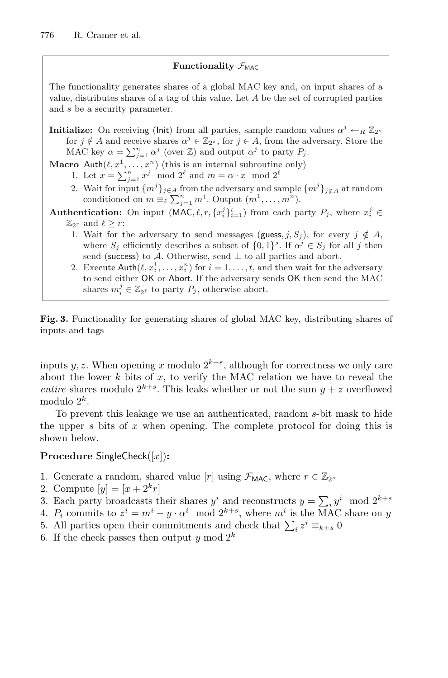### **Functionality**  $\mathcal{F}_{MAC}$

The functionality generates shares of a global MAC key and, on input shares of a value, distributes shares of a tag of this value. Let  $A$  be the set of corrupted parties and s be a security parameter.

**Initialize:** On receiving (lnit) from all parties, sample random values  $\alpha^{j} \leftarrow_R \mathbb{Z}_{2^s}$ for  $j \notin A$  and receive shares  $\alpha^{j} \in \mathbb{Z}_{2^{s}}$ , for  $j \in A$ , from the adversary. Store the MAC key  $\alpha = \sum_{j=1}^{n} \alpha^{j}$  (over  $\mathbb{Z}$ ) and output  $\alpha^{j}$  to party  $P_j$ .

**Macro** Auth $(\ell, x^1, \ldots, x^n)$  (this is an internal subroutine only)

- 1. Let  $x = \sum_{j=1}^n x^j \mod 2^\ell$  and  $m = \alpha \cdot x \mod 2^\ell$
- 2. Wait for input  $\{m^j\}_{j\in A}$  from the adversary and sample  $\{m^j\}_{j\notin A}$  at random conditioned on  $m \equiv_{\ell} \sum_{j=1}^{n} m^{j}$ . Output  $(m^{1}, \ldots, m^{n})$ .
- **Authentication:** On input  $(MAC, \ell, r, \{x_i^j\}_{i=1}^t)$  from each party  $P_j$ , where  $x_i^j \in \mathbb{R}$  $\mathbb{Z}_{2^r}$  and  $\ell \geq r$ :
	- 1. Wait for the adversary to send messages (guess, j, S<sub>i</sub>), for every  $j \notin A$ , where  $S_i$  efficiently describes a subset of  $\{0,1\}^s$ . If  $\alpha^j \in S_i$  for all j then send (success) to A. Otherwise, send  $\perp$  to all parties and abort.
	- 2. Execute  $\text{Auth}(\ell, x_i^1, \ldots, x_i^n)$  for  $i = 1, \ldots, t$ , and then wait for the adversary to send either OK or Abort. If the adversary sends OK then send the MAC shares  $m_i^j \in \mathbb{Z}_{2^{\ell}}$  to party  $P_j$ , otherwise abort.

<span id="page-7-0"></span>**Fig. 3.** Functionality for generating shares of global MAC key, distributing shares of inputs and tags

inputs y, z. When opening x modulo  $2^{k+s}$ , although for correctness we only care about the lower  $k$  bits of  $x$ , to verify the MAC relation we have to reveal the *entire* shares modulo  $2^{k+s}$ . This leaks whether or not the sum  $y + z$  overflowed modulo  $2^k$ .

To prevent this leakage we use an authenticated, random s-bit mask to hide the upper s bits of x when opening. The complete protocol for doing this is shown below.

### **Procedure** SingleCheck([x])**:**

- 1. Generate a random, shared value [r] using  $\mathcal{F}_{MAC}$ , where  $r \in \mathbb{Z}_{2^s}$
- 2. Compute  $[y] = [x + 2^k r]$
- 3. Each party broadcasts their shares  $y^i$  and reconstructs  $y = \sum_i y^i \mod 2^{k+s}$
- 4.  $P_i$  commits to  $z^i = m^i y \cdot \alpha^i \mod 2^{k+s}$ , where  $m^i$  is the MAC share on y
- 5. All parties open their commitments and check that  $\sum_i z^i \equiv_{k+s} 0$
- 6. If the check passes then output y mod  $2^k$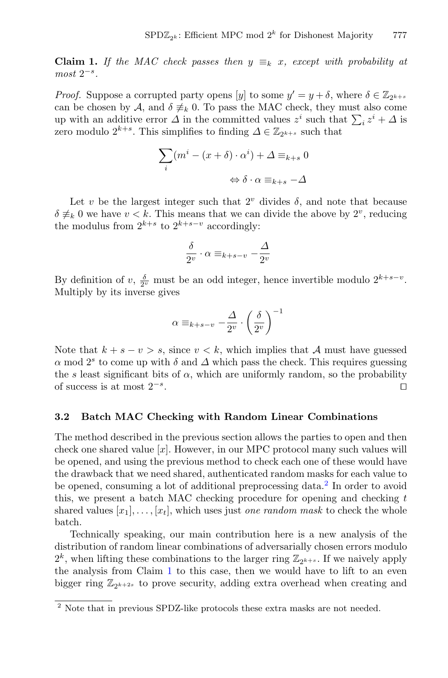<span id="page-8-1"></span>**Claim 1.** If the MAC check passes then  $y \equiv_k x$ , except with probability at *most* 2−s*.*

*Proof.* Suppose a corrupted party opens [y] to some  $y' = y + \delta$ , where  $\delta \in \mathbb{Z}_{2^{k+s}}$ can be chosen by A, and  $\delta \neq k$  0. To pass the MAC check, they must also come up with an additive error  $\Delta$  in the committed values  $z^i$  such that  $\sum_i z^i + \Delta$  is zero modulo  $2^{k+s}$ . This simplifies to finding  $\Delta \in \mathbb{Z}_{2^{k+s}}$  such that

$$
\sum_{i} (m^{i} - (x + \delta) \cdot \alpha^{i}) + \Delta \equiv_{k+s} 0
$$

$$
\Leftrightarrow \delta \cdot \alpha \equiv_{k+s} -\Delta
$$

Let v be the largest integer such that  $2^v$  divides  $\delta$ , and note that because  $\delta \neq_k 0$  we have  $v < k$ . This means that we can divide the above by  $2^v$ , reducing the modulus from  $2^{k+s}$  to  $2^{k+s-v}$  accordingly:

$$
\frac{\delta}{2^v}\cdot \alpha \equiv_{k+s-v} -\frac{\varDelta}{2^v}
$$

By definition of v,  $\frac{\delta}{2^v}$  must be an odd integer, hence invertible modulo  $2^{k+s-v}$ . Multiply by its inverse gives

$$
\alpha \equiv_{k+s-v} -\frac{\Delta}{2^v} \cdot \left(\frac{\delta}{2^v}\right)^{-1}
$$

Note that  $k + s - v > s$ , since  $v < k$ , which implies that A must have guessed  $\alpha$  mod  $2^s$  to come up with  $\delta$  and  $\Delta$  which pass the check. This requires guessing the s least significant bits of  $\alpha$ , which are uniformly random, so the probability of success is at most  $2^{-s}$ .

### **3.2 Batch MAC Checking with Random Linear Combinations**

The method described in the previous section allows the parties to open and then check one shared value  $|x|$ . However, in our MPC protocol many such values will be opened, and using the previous method to check each one of these would have the drawback that we need shared, authenticated random masks for each value to be opened, consuming a lot of additional preprocessing data.<sup>[2](#page-8-0)</sup> In order to avoid this, we present a batch MAC checking procedure for opening and checking  $t$ shared values  $[x_1], \ldots, [x_t]$ , which uses just *one random mask* to check the whole batch.

Technically speaking, our main contribution here is a new analysis of the distribution of random linear combinations of adversarially chosen errors modulo  $2^k$ , when lifting these combinations to the larger ring  $\mathbb{Z}_{2^{k+s}}$ . If we naively apply the analysis from Claim [1](#page-8-1) to this case, then we would have to lift to an even bigger ring  $\mathbb{Z}_{2^{k+2s}}$  to prove security, adding extra overhead when creating and

<span id="page-8-0"></span> $2$  Note that in previous SPDZ-like protocols these extra masks are not needed.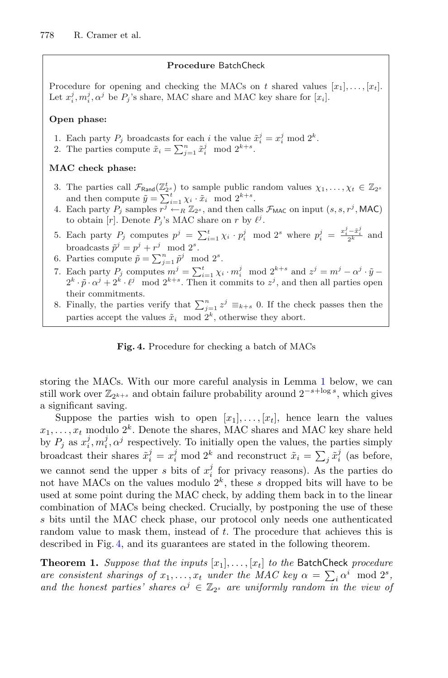### **Procedure** BatchCheck

Procedure for opening and checking the MACs on t shared values  $[x_1], \ldots, [x_t]$ . Let  $x_i^j, m_i^j, \alpha^j$  be  $P_j$ 's share, MAC share and MAC key share for  $[x_i]$ .

### **Open phase:**

- 1. Each party  $P_j$  broadcasts for each *i* the value  $\tilde{x}_i^j = x_i^j \mod 2^k$ .
- 2. The parties compute  $\tilde{x}_i = \sum_{j=1}^n \tilde{x}_i^j \mod 2^{k+s}$ .

### **MAC check phase:**

- 3. The parties call  $\mathcal{F}_{\text{Rand}}(\mathbb{Z}_2^t)$  to sample public random values  $\chi_1,\ldots,\chi_t \in \mathbb{Z}_2$ and then compute  $\tilde{y} = \sum_{i=1}^{t} \chi_i \cdot \tilde{x}_i \mod 2^{k+s}$ .
- 4. Each party  $P_i$  samples  $\overline{r^j} \leftarrow_R \mathbb{Z}_{2^s}$ , and then calls  $\mathcal{F}_{MAC}$  on input  $(s, s, r^j, MAC)$ to obtain [r]. Denote  $P_j$ 's MAC share on r by  $\ell^j$ .
- 5. Each party  $P_j$  computes  $p^j = \sum_{i=1}^t \chi_i \cdot p_i^j \mod 2^s$  where  $p_i^j = \frac{x_i^j \tilde{x}_i^j}{2^k}$  and broadcasts  $\tilde{p}^j = p^j + r^j \mod 2^s$ .
- 6. Parties compute  $\tilde{p} = \sum_{j=1}^n \tilde{p}^j \mod 2^s$ .
- 7. Each party  $P_j$  computes  $m^j = \sum_{i=1}^t \chi_i \cdot m_i^j \mod 2^{k+s}$  and  $z^j = m^j \alpha^j \cdot \tilde{y} 2^k \cdot \tilde{p} \cdot \alpha^j + 2^k \cdot \ell^j \mod 2^{k+s}$ . Then it commits to  $z^j$ , and then all parties open their commitments.
- 8. Finally, the parties verify that  $\sum_{j=1}^{n} z^{j} \equiv_{k+s} 0$ . If the check passes then the parties accept the values  $\tilde{x}_i$  mod  $2^k$ , otherwise they abort.

### <span id="page-9-1"></span><span id="page-9-0"></span>**Fig. 4.** Procedure for checking a batch of MACs

storing the MACs. With our more careful analysis in Lemma [1](#page-10-0) below, we can still work over  $\mathbb{Z}_{2^{k+s}}$  and obtain failure probability around  $2^{-s+\log s}$ , which gives a significant saving.

Suppose the parties wish to open  $[x_1], \ldots, [x_t]$ , hence learn the values  $x_1, \ldots, x_t$  modulo  $2^k$ . Denote the shares, MAC shares and MAC key share held by  $P_j$  as  $x_i^j, m_i^j, \alpha^j$  respectively. To initially open the values, the parties simply broadcast their shares  $\tilde{x}_i^j = x_i^j \mod 2^k$  and reconstruct  $\tilde{x}_i = \sum_j \tilde{x}_i^j$  (as before, we cannot send the upper s bits of  $x_i^j$  for privacy reasons). As the parties do not have MACs on the values modulo  $2^k$ , these s dropped bits will have to be used at some point during the MAC check, by adding them back in to the linear combination of MACs being checked. Crucially, by postponing the use of these s bits until the MAC check phase, our protocol only needs one authenticated random value to mask them, instead of t. The procedure that achieves this is described in Fig. [4,](#page-9-0) and its guarantees are stated in the following theorem.

**Theorem 1.** *Suppose that the inputs*  $|x_1|, \ldots, |x_t|$  *to the* BatchCheck *procedure are consistent sharings of*  $x_1, \ldots, x_t$  *under the MAC key*  $\alpha = \sum_i \alpha^i \mod 2^s$ , and the honest parties' shares  $\alpha^{j} \in \mathbb{Z}_{2^{s}}$  are uniformly random in the view of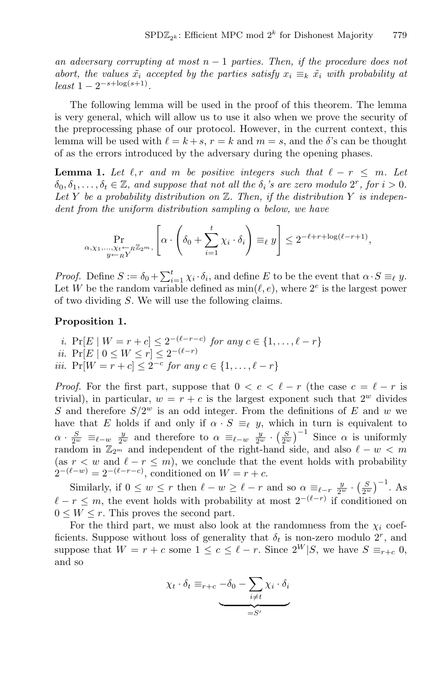*an adversary corrupting at most* <sup>n</sup> <sup>−</sup> <sup>1</sup> *parties. Then, if the procedure does not abort, the values*  $\tilde{x}_i$  *accepted by the parties satisfy*  $x_i \equiv_k \tilde{x}_i$  *with probability at*  $\text{least } 1 - 2^{-s + \log(s+1)}$ .

The following lemma will be used in the proof of this theorem. The lemma is very general, which will allow us to use it also when we prove the security of the preprocessing phase of our protocol. However, in the current context, this lemma will be used with  $\ell = k + s$ ,  $r = k$  and  $m = s$ , and the  $\delta$ 's can be thought of as the errors introduced by the adversary during the opening phases.

**Lemma 1.** Let  $\ell$ , r and m be positive integers such that  $\ell - r \leq m$ . Let  $\delta_0, \delta_1, \ldots, \delta_t \in \mathbb{Z}$ , and suppose that not all the  $\delta_i$ 's are zero modulo  $2^r$ , for  $i > 0$ . Let Y be a probability distribution on  $\mathbb{Z}$ . Then, if the distribution Y is indepen*dent from the uniform distribution sampling* α *below, we have*

<span id="page-10-0"></span>
$$
\Pr_{\substack{\alpha,\chi_1,\ldots,\chi_t\leftarrow_R\mathbb{Z}_{2^m},\\y\leftarrow_R Y}}\left[\alpha\cdot\left(\delta_0+\sum_{i=1}^t\chi_i\cdot\delta_i\right)\equiv_\ell y\right]\leq 2^{-\ell+r+\log(\ell-r+1)},
$$

*Proof.* Define  $S := \delta_0 + \sum_{i=1}^t \chi_i \cdot \delta_i$ , and define E to be the event that  $\alpha \cdot S \equiv_{\ell} y$ . Let W be the random variable defined as  $min(\ell, e)$ , where  $2^e$  is the largest power of two dividing S. We will use the following claims.

#### <span id="page-10-1"></span>**Proposition 1.**

*i.* Pr[ $E \mid W = r + c$ ]  $\leq 2^{-(\ell - r - c)}$  *for any*  $c \in \{1, ..., \ell - r\}$ *ii.* Pr[ $E | 0 \leq W \leq r$ ]  $\leq 2^{-(\ell-r)}$ *iii.* Pr $[W = r + c] \leq 2^{-c}$  *for any*  $c \in \{1, ..., \ell - r\}$ 

*Proof.* For the first part, suppose that  $0 < c < \ell - r$  (the case  $c = \ell - r$  is trivial), in particular,  $w = r + c$  is the largest exponent such that  $2^w$  divides S and therefore  $S/2^w$  is an odd integer. From the definitions of E and w we have that E holds if and only if  $\alpha \cdot S \equiv_{\ell} y$ , which in turn is equivalent to  $\alpha \cdot \frac{S}{2^w} \equiv_{\ell-w} \frac{y}{2^w}$  and therefore to  $\alpha \equiv_{\ell-w} \frac{y}{2^w} \cdot \left(\frac{S}{2^w}\right)^{-1}$  Since  $\alpha$  is uniformly random in  $\mathbb{Z}_{2^m}$  and independent of the right-hand side, and also  $\ell - w < m$ (as  $r < w$  and  $\ell - r \leq m$ ), we conclude that the event holds with probability  $2^{-(\ell-w)} = 2^{-(\ell-r-c)}$ , conditioned on  $W = r + c$ .

Similarly, if  $0 \leq w \leq r$  then  $\ell - w \geq \ell - r$  and so  $\alpha \equiv_{\ell-r} \frac{y}{2^w} \cdot \left(\frac{S}{2^w}\right)^{-1}$ . As  $\ell - r \leq m$ , the event holds with probability at most  $2^{-(\ell-r)}$  if conditioned on  $0 \leq W \leq r$ . This proves the second part.

For the third part, we must also look at the randomness from the  $\chi_i$  coefficients. Suppose without loss of generality that  $\delta_t$  is non-zero modulo 2<sup>r</sup>, and suppose that  $W = r + c$  some  $1 \leq c \leq \ell - r$ . Since  $2^W | S$ , we have  $S \equiv_{r+c} 0$ , and so

$$
\chi_t \cdot \delta_t \equiv_{r+c} -\delta_0 - \sum_{i \neq t} \chi_i \cdot \delta_i
$$
  
=
$$
S'
$$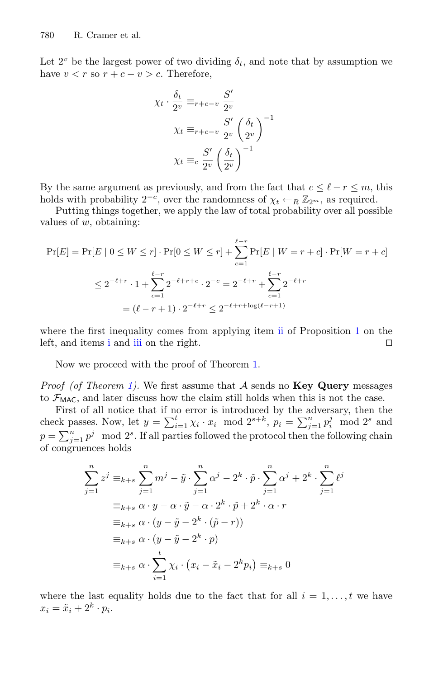Let  $2^v$  be the largest power of two dividing  $\delta_t$ , and note that by assumption we have  $v < r$  so  $r + c - v > c$ . Therefore,

$$
\chi_t \cdot \frac{\delta_t}{2^v} \equiv_{r+c-v} \frac{S'}{2^v}
$$

$$
\chi_t \equiv_{r+c-v} \frac{S'}{2^v} \left(\frac{\delta_t}{2^v}\right)^{-1}
$$

$$
\chi_t \equiv_c \frac{S'}{2^v} \left(\frac{\delta_t}{2^v}\right)^{-1}
$$

By the same argument as previously, and from the fact that  $c \leq \ell - r \leq m$ , this holds with probability  $2^{-c}$ , over the randomness of  $\chi_t \leftarrow_R \mathbb{Z}_{2^m}$ , as required.

Putting things together, we apply the law of total probability over all possible values of  $w$ , obtaining:

$$
\Pr[E] = \Pr[E \mid 0 \le W \le r] \cdot \Pr[0 \le W \le r] + \sum_{c=1}^{\ell-r} \Pr[E \mid W = r + c] \cdot \Pr[W = r + c]
$$

$$
\le 2^{-\ell+r} \cdot 1 + \sum_{c=1}^{\ell-r} 2^{-\ell+r+c} \cdot 2^{-c} = 2^{-\ell+r} + \sum_{c=1}^{\ell-r} 2^{-\ell+r}
$$

$$
= (\ell - r + 1) \cdot 2^{-\ell+r} \le 2^{-\ell+r + \log(\ell-r+1)}
$$

where the first inequality comes from applying item [ii](#page-10-1) of Proposition [1](#page-10-1) on the left, and items [i](#page-10-1) and [iii](#page-10-1) on the right.

Now we proceed with the proof of Theorem [1.](#page-9-1)

*Proof (of Theorem [1\)](#page-9-1).* We first assume that A sends no **Key Query** messages to  $\mathcal{F}_{MAC}$ , and later discuss how the claim still holds when this is not the case.

First of all notice that if no error is introduced by the adversary, then the check passes. Now, let  $y = \sum_{i=1}^{t} \chi_i \cdot x_i \mod 2^{s+k}$ ,  $p_i = \sum_{j=1}^{n} p_i^j \mod 2^s$  and  $p = \sum_{j=1}^{n} p^{j} \mod 2^{s}$ . If all parties followed the protocol then the following chain of congruences holds

$$
\sum_{j=1}^{n} z^{j} \equiv_{k+s} \sum_{j=1}^{n} m^{j} - \tilde{y} \cdot \sum_{j=1}^{n} \alpha^{j} - 2^{k} \cdot \tilde{p} \cdot \sum_{j=1}^{n} \alpha^{j} + 2^{k} \cdot \sum_{j=1}^{n} \ell^{j}
$$

$$
\equiv_{k+s} \alpha \cdot y - \alpha \cdot \tilde{y} - \alpha \cdot 2^{k} \cdot \tilde{p} + 2^{k} \cdot \alpha \cdot r
$$

$$
\equiv_{k+s} \alpha \cdot (y - \tilde{y} - 2^{k} \cdot (\tilde{p} - r))
$$

$$
\equiv_{k+s} \alpha \cdot (y - \tilde{y} - 2^{k} \cdot p)
$$

$$
\equiv_{k+s} \alpha \cdot \sum_{i=1}^{t} \chi_{i} \cdot (x_{i} - \tilde{x}_{i} - 2^{k} p_{i}) \equiv_{k+s} 0
$$

where the last equality holds due to the fact that for all  $i = 1, \ldots, t$  we have  $x_i = \tilde{x}_i + 2^k \cdot p_i.$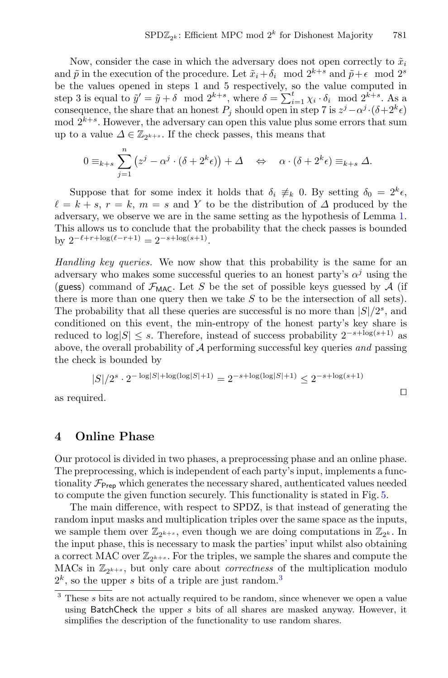Now, consider the case in which the adversary does not open correctly to  $\tilde{x}_i$ and  $\tilde{p}$  in the execution of the procedure. Let  $\tilde{x}_i + \delta_i \mod 2^{k+s}$  and  $\tilde{p} + \epsilon \mod 2^s$ be the values opened in steps 1 and 5 respectively, so the value computed in step 3 is equal to  $\tilde{y}' = \tilde{y} + \delta \mod 2^{k+s}$ , where  $\delta = \sum_{i=1}^{t} \chi_i \cdot \delta_i \mod 2^{k+s}$ . As a consequence, the share that an honest  $P_i$  should open in step 7 is  $z^j - \alpha^j \cdot (\delta + 2^k \epsilon)$  $\mod 2^{k+s}$ . However, the adversary can open this value plus some errors that sum up to a value  $\Delta \in \mathbb{Z}_{2^{k+s}}$ . If the check passes, this means that

$$
0 \equiv_{k+s} \sum_{j=1}^n (z^j - \alpha^j \cdot (\delta + 2^k \epsilon)) + \Delta \quad \Leftrightarrow \quad \alpha \cdot (\delta + 2^k \epsilon) \equiv_{k+s} \Delta.
$$

Suppose that for some index it holds that  $\delta_i \neq_k 0$ . By setting  $\delta_0 = 2^k \epsilon$ ,  $\ell = k + s, r = k, m = s$  and Y to be the distribution of  $\Delta$  produced by the adversary, we observe we are in the same setting as the hypothesis of Lemma [1.](#page-10-0) This allows us to conclude that the probability that the check passes is bounded by  $2^{-\ell+r+\log(\ell-r+1)} = 2^{-s+\log(s+1)}$ .

*Handling key queries.* We now show that this probability is the same for an adversary who makes some successful queries to an honest party's  $\alpha^{j}$  using the (guess) command of  $\mathcal{F}_{MAC}$ . Let S be the set of possible keys guessed by A (if there is more than one query then we take  $S$  to be the intersection of all sets). The probability that all these queries are successful is no more than  $|S|/2<sup>s</sup>$ , and conditioned on this event, the min-entropy of the honest party's key share is reduced to  $log|S|$  ≤ s. Therefore, instead of success probability  $2^{-s + log(s+1)}$  as above, the overall probability of A performing successful key queries *and* passing the check is bounded by

$$
|S|/2^s \cdot 2^{-\log |S| + \log(\log |S| + 1)} = 2^{-s + \log(\log |S| + 1)} \le 2^{-s + \log(s + 1)}
$$

as required.  $\hfill \Box$ 

### <span id="page-12-0"></span>**4 Online Phase**

Our protocol is divided in two phases, a preprocessing phase and an online phase. The preprocessing, which is independent of each party's input, implements a functionality  $\mathcal{F}_{\text{Prep}}$  which generates the necessary shared, authenticated values needed to compute the given function securely. This functionality is stated in Fig. [5.](#page-13-0)

The main difference, with respect to SPDZ, is that instead of generating the random input masks and multiplication triples over the same space as the inputs, we sample them over  $\mathbb{Z}_{2^{k+1}}$ , even though we are doing computations in  $\mathbb{Z}_{2^k}$ . In the input phase, this is necessary to mask the parties' input whilst also obtaining a correct MAC over  $\mathbb{Z}_{2^{k+s}}$ . For the triples, we sample the shares and compute the MACs in  $\mathbb{Z}_{2k+s}$ , but only care about *correctness* of the multiplication modulo  $2^k$ , so the upper s bits of a triple are just random.<sup>[3](#page-12-1)</sup>

<span id="page-12-1"></span><sup>&</sup>lt;sup>3</sup> These s bits are not actually required to be random, since whenever we open a value using BatchCheck the upper s bits of all shares are masked anyway. However, it simplifies the description of the functionality to use random shares.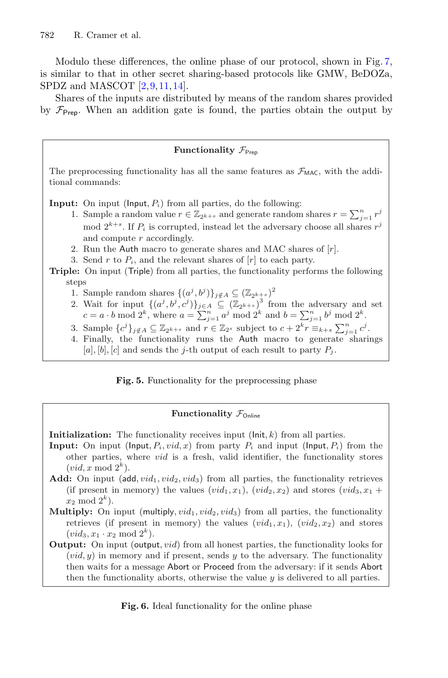Modulo these differences, the online phase of our protocol, shown in Fig. [7,](#page-14-1) is similar to that in other secret sharing-based protocols like GMW, BeDOZa, SPDZ and MASCOT [\[2](#page-28-1)[,9](#page-28-2),[11,](#page-28-9)[14\]](#page-29-0).

Shares of the inputs are distributed by means of the random shares provided by  $\mathcal{F}_{\text{Prep}}$ . When an addition gate is found, the parties obtain the output by

### **Functionality**  $\mathcal{F}_{\text{Preo}}$

The preprocessing functionality has all the same features as  $\mathcal{F}_{MAC}$ , with the additional commands:

**Input:** On input ( $\mathsf{Input}, P_i$ ) from all parties, do the following:

- 1. Sample a random value  $r \in \mathbb{Z}_{2^{k+s}}$  and generate random shares  $r = \sum_{j=1}^{n} r^j$ mod  $2^{k+s}$ . If  $P_i$  is corrupted, instead let the adversary choose all shares  $r^j$ and compute r accordingly.
- 2. Run the Auth macro to generate shares and MAC shares of  $[r]$ .
- 3. Send r to  $P_i$ , and the relevant shares of  $[r]$  to each party.

**Triple:** On input (Triple) from all parties, the functionality performs the following steps

- 1. Sample random shares  $\{(a^j, b^j)\}_{j \notin A} \subseteq (\mathbb{Z}_{2k+s})^2$
- 2. Wait for input  $\{(a^j, b^j, c^j)\}_{j\in A} \subseteq (\mathbb{Z}_{2^{k+s}})^3$  from the adversary and set  $c = a \cdot b \mod 2^k$ , where  $a = \sum_{j=1}^n a^j \mod 2^k$  and  $b = \sum_{j=1}^n b^j \mod 2^k$ .
- 3. Sample  $\{c^j\}_{j \notin A} \subseteq \mathbb{Z}_{2^{k+s}}$  and  $r \in \mathbb{Z}_{2^s}$  subject to  $c + 2^k r \equiv_{k+s} \sum_{j=1}^n c^j$ .
- 4. Finally, the functionality runs the Auth macro to generate sharings [a], [b], [c] and sends the j-th output of each result to party  $P_j$ .

<span id="page-13-0"></span>**Fig. 5.** Functionality for the preprocessing phase

### **Functionality**  $\mathcal{F}_{\text{Online}}$

**Initialization:** The functionality receives input  $(\text{Init}, k)$  from all parties.

- **Input:** On input ( $\text{Input}, P_i, \text{vid}, x$ ) from party  $P_i$  and input ( $\text{Input}, P_i$ ) from the other parties, where vid is a fresh, valid identifier, the functionality stores  $(vid, x \mod 2^k)$ .
- **Add:** On input (add,  $vid_1$ ,  $vid_2$ ,  $vid_3$ ) from all parties, the functionality retrieves (if present in memory) the values  $(vid_1, x_1)$ ,  $(vid_2, x_2)$  and stores  $(vid_3, x_1 +$  $x_2 \mod 2^k$ .
- **Multiply:** On input (multiply,  $vid_1$ ,  $vid_2$ ,  $vid_3$ ) from all parties, the functionality retrieves (if present in memory) the values  $(vid_1, x_1)$ ,  $(vid_2, x_2)$  and stores  $(vid_3, x_1 \cdot x_2 \mod 2^k).$
- **Output:** On input (output, vid) from all honest parties, the functionality looks for  $(vid, y)$  in memory and if present, sends y to the adversary. The functionality then waits for a message Abort or Proceed from the adversary: if it sends Abort then the functionality aborts, otherwise the value  $y$  is delivered to all parties.

<span id="page-13-1"></span>**Fig. 6.** Ideal functionality for the online phase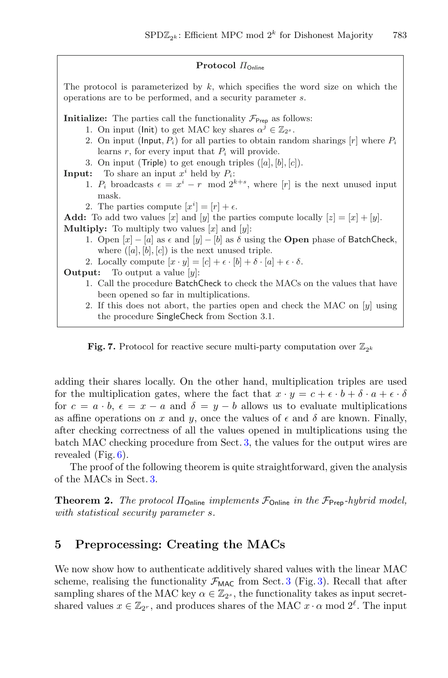#### **Protocol** ΠOnline

The protocol is parameterized by  $k$ , which specifies the word size on which the operations are to be performed, and a security parameter s.

**Initialize:** The parties call the functionality  $\mathcal{F}_{\text{Prep}}$  as follows:

- 1. On input (lnit) to get MAC key shares  $\alpha^{j} \in \mathbb{Z}_{2^{s}}$ .
- 2. On input (Input,  $P_i$ ) for all parties to obtain random sharings  $[r]$  where  $P_i$ learns  $r$ , for every input that  $P_i$  will provide.
- 3. On input (Triple) to get enough triples  $([a], [b], [c])$ .

**Input:** To share an input  $x^i$  held by  $P_i$ :

- 1.  $P_i$  broadcasts  $\epsilon = x^i r \mod 2^{k+s}$ , where [r] is the next unused input mask.
- 2. The parties compute  $[x^i] = [r] + \epsilon$ .

**Add:** To add two values [x] and [y] the parties compute locally  $[z]=[x]+[y]$ . **Multiply:** To multiply two values  $[x]$  and  $[y]$ :

- 1. Open  $[x] [a]$  as  $\epsilon$  and  $[y] [b]$  as  $\delta$  using the **Open** phase of BatchCheck, where  $([a], [b], [c])$  is the next unused triple.
- 2. Locally compute  $[x \cdot y] = [c] + \epsilon \cdot [b] + \delta \cdot [a] + \epsilon \cdot \delta$ .<br>**Output:** To output a value [y]:

To output a value [y]:

- 1. Call the procedure BatchCheck to check the MACs on the values that have been opened so far in multiplications.
- 2. If this does not abort, the parties open and check the MAC on  $[y]$  using the procedure SingleCheck from Section 3.1.

<span id="page-14-1"></span>

adding their shares locally. On the other hand, multiplication triples are used for the multiplication gates, where the fact that  $x \cdot y = c + \epsilon \cdot b + \delta \cdot a + \epsilon \cdot \delta$ for  $c = a \cdot b$ ,  $\epsilon = x - a$  and  $\delta = y - b$  allows us to evaluate multiplications as affine operations on x and y, once the values of  $\epsilon$  and  $\delta$  are known. Finally, after checking correctness of all the values opened in multiplications using the batch MAC checking procedure from Sect. [3,](#page-5-0) the values for the output wires are revealed  $(Fig. 6)$  $(Fig. 6)$ .

The proof of the following theorem is quite straightforward, given the analysis of the MACs in Sect. [3.](#page-5-0)

**Theorem 2.** *The protocol*  $\Pi_{\text{Online}}$  *implements*  $\mathcal{F}_{\text{Online}}$  *in the*  $\mathcal{F}_{\text{Prep}}$ *-hybrid model, with statistical security parameter* s*.*

# <span id="page-14-0"></span>**5 Preprocessing: Creating the MACs**

We now show how to authenticate additively shared values with the linear MAC scheme, realising the functionality  $\mathcal{F}_{MAC}$  from Sect. [3](#page-5-0) (Fig. [3\)](#page-7-0). Recall that after sampling shares of the MAC key  $\alpha \in \mathbb{Z}_{2^s}$ , the functionality takes as input secretshared values  $x \in \mathbb{Z}_{2^r}$ , and produces shares of the MAC  $x \cdot \alpha$  mod  $2^{\ell}$ . The input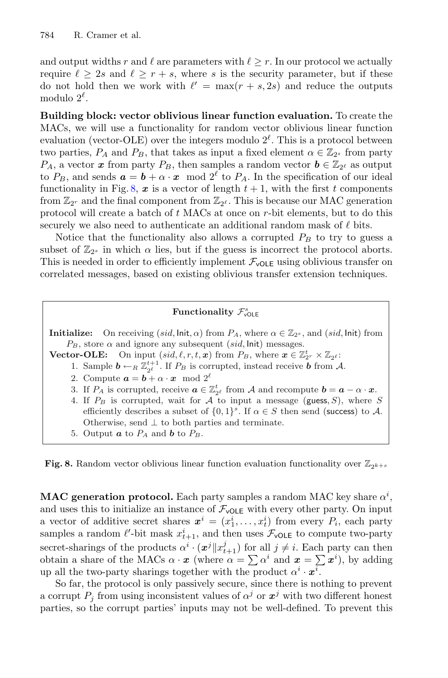and output widths r and  $\ell$  are parameters with  $\ell \geq r$ . In our protocol we actually require  $\ell > 2s$  and  $\ell > r + s$ , where s is the security parameter, but if these do not hold then we work with  $\ell' = \max(r + s, 2s)$  and reduce the outputs modulo  $2^{\ell}$ .

**Building block: vector oblivious linear function evaluation.** To create the MACs, we will use a functionality for random vector oblivious linear function evaluation (vector-OLE) over the integers modulo  $2^{\ell}$ . This is a protocol between two parties,  $P_A$  and  $P_B$ , that takes as input a fixed element  $\alpha \in \mathbb{Z}_{2^s}$  from party  $P_A$ , a vector *x* from party  $P_B$ , then samples a random vector  $\boldsymbol{b} \in \mathbb{Z}_{2^{\ell}}$  as output to  $P_B$ , and sends  $\boldsymbol{a} = \boldsymbol{b} + \alpha \cdot \boldsymbol{x} \mod 2^{\ell}$  to  $P_A$ . In the specification of our ideal functionality in Fig. [8,](#page-15-0)  $x$  is a vector of length  $t + 1$ , with the first t components from  $\mathbb{Z}_{2^r}$  and the final component from  $\mathbb{Z}_{2^\ell}$ . This is because our MAC generation protocol will create a batch of t MACs at once on r-bit elements, but to do this securely we also need to authenticate an additional random mask of  $\ell$  bits.

Notice that the functionality also allows a corrupted  $P_B$  to try to guess a subset of  $\mathbb{Z}_{2^s}$  in which  $\alpha$  lies, but if the guess is incorrect the protocol aborts. This is needed in order to efficiently implement  $\mathcal{F}_{\text{vOLE}}$  using oblivious transfer on correlated messages, based on existing oblivious transfer extension techniques.

# Functionality  $\mathcal{F}_{\text{vOLE}}^s$

**Initialize:** On receiving  $(sid, \text{Init}, \alpha)$  from  $P_A$ , where  $\alpha \in \mathbb{Z}_{2^s}$ , and  $(sid, \text{Init})$  from  $P_B$ , store  $\alpha$  and ignore any subsequent (sid, Init) messages.

**Vector-OLE:** On input  $(sid, \ell, r, t, x)$  from  $P_B$ , where  $x \in \mathbb{Z}_{2r}^t \times \mathbb{Z}_{2\ell}$ :

- 1. Sample  $\mathbf{b} \leftarrow_R \mathbb{Z}_{2^{\ell}}^{t+1}$ . If  $P_B$  is corrupted, instead receive  $\mathbf{b}$  from A.
- 2. Compute  $\mathbf{a} = \mathbf{b} + \alpha \cdot \mathbf{x} \mod 2^{\ell}$
- 3. If  $P_A$  is corrupted, receive  $\boldsymbol{a} \in \mathbb{Z}_{2^{\ell}}^t$  from A and recompute  $\boldsymbol{b} = \boldsymbol{a} \alpha \cdot \boldsymbol{x}$ .
- 4. If  $P_B$  is corrupted, wait for A to input a message (guess, S), where S efficiently describes a subset of  $\{0,1\}^s$ . If  $\alpha \in S$  then send (success) to A. Otherwise, send  $\perp$  to both parties and terminate.
- 5. Output  $\boldsymbol{a}$  to  $P_A$  and  $\boldsymbol{b}$  to  $P_B$ .

<span id="page-15-0"></span>**Fig. 8.** Random vector oblivious linear function evaluation functionality over  $\mathbb{Z}_{2^{k+s}}$ 

**MAC generation protocol.** Each party samples a random MAC key share  $\alpha^i$ , and uses this to initialize an instance of  $\mathcal{F}_{\text{vOLE}}$  with every other party. On input a vector of additive secret shares  $\boldsymbol{x}^i = (x_1^i, \ldots, x_t^i)$  from every  $P_i$ , each party samples a random  $\ell'$ -bit mask  $x_{t+1}^i$ , and then uses  $\mathcal{F}_{\text{vOLE}}$  to compute two-party secret-sharings of the products  $\alpha^i \cdot (\boldsymbol{x}^j || x_{t+1}^j)$  for all  $j \neq i$ . Each party can then obtain a share of the MACs  $\alpha \cdot x$  (where  $\alpha = \sum \alpha^i$  and  $\boldsymbol{x} = \sum \boldsymbol{x}^i$ ), by adding up all the two-party sharings together with the product  $\alpha^i \cdot \mathbf{x}^i$ .

So far, the protocol is only passively secure, since there is nothing to prevent a corrupt  $P_i$  from using inconsistent values of  $\alpha^j$  or  $x^j$  with two different honest parties, so the corrupt parties' inputs may not be well-defined. To prevent this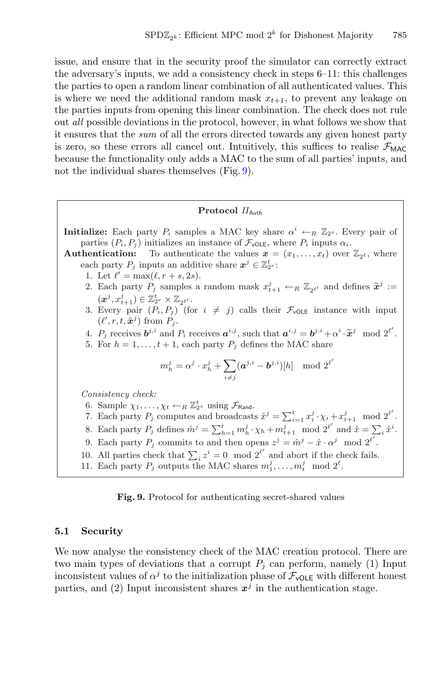issue, and ensure that in the security proof the simulator can correctly extract the adversary's inputs, we add a consistency check in steps 6–11: this challenges the parties to open a random linear combination of all authenticated values. This is where we need the additional random mask  $x_{t+1}$ , to prevent any leakage on the parties inputs from opening this linear combination. The check does not rule out *all* possible deviations in the protocol, however, in what follows we show that it ensures that the *sum* of all the errors directed towards any given honest party is zero, so these errors all cancel out. Intuitively, this suffices to realise  $\mathcal{F}_{MAC}$ because the functionality only adds a MAC to the sum of all parties' inputs, and not the individual shares themselves (Fig. [9\)](#page-16-0).

### **Protocol** ΠAuth

**Initialize:** Each party  $P_i$  samples a MAC key share  $\alpha^i \leftarrow_R \mathbb{Z}_{2^s}$ . Every pair of parties  $(P_i, P_j)$  initializes an instance of  $\mathcal{F}_{\text{vOLE}}$ , where  $P_i$  inputs  $\alpha_i$ .

**Authentication:** To authenticate the values  $\mathbf{x} = (x_1, \ldots, x_t)$  over  $\mathbb{Z}_{2^{\ell}}$ , where each party  $P_j$  inputs an additive share  $\mathbf{x}^j \in \mathbb{Z}_2^t$ .

- 1. Let  $\ell' = \max(\ell, r + s, 2s)$ .
- 2. Each party  $P_j$  samples a random mask  $x_{t+1}^j \leftarrow_R \mathbb{Z}_{2^{\ell'}}$  and defines  $\tilde{x}^j :=$  $(\boldsymbol{x}^j, x_{t+1}^j) \in \mathbb{Z}_{2^r}^t \times \mathbb{Z}_{2^{\ell'}}.$
- 3. Every pair  $(P_i, P_j)$  (for  $i \neq j$ ) calls their  $\mathcal{F}_{\text{vOLE}}$  instance with input  $(\ell', r, t, \tilde{\boldsymbol{x}}^j)$  from  $P_j$ .
- 4.  $P_j$  receives  $\boldsymbol{b}^{j,i}$  and  $P_i$  receives  $\boldsymbol{a}^{i,j}$ , such that  $\boldsymbol{a}^{i,j} = \boldsymbol{b}^{j,i} + \alpha^i \cdot \widetilde{\boldsymbol{x}}^j \mod 2^{\ell'}.$
- 5. For  $h = 1, \ldots, t + 1$ , each party  $P_i$  defines the MAC share

$$
m_h^j = \alpha^j \cdot x_h^j + \sum_{i \neq j} (\boldsymbol{a}^{j,i} - \boldsymbol{b}^{j,i})[h] \mod 2^{\ell'}
$$

*Consistency check:*

- 6. Sample  $\chi_1, \ldots, \chi_t \leftarrow_R \mathbb{Z}_2^t$  using  $\mathcal{F}_{\text{Rand}}$ .
- 7. Each party  $P_j$  computes and broadcasts  $\hat{x}^j = \sum_{i=1}^t x_i^j \cdot \chi_i + x_{t+1}^j \mod 2^{\ell'}$ .
- 8. Each party  $P_j$  defines  $\hat{m}^j = \sum_{h=1}^t m_h^j \cdot \chi_h + m_{t+1}^j \mod 2^{\ell'}$  and  $\hat{x} = \sum_i \hat{x}^i$ .
- 9. Each party  $P_j$  commits to and then opens  $z^j = \hat{m}^j \hat{x} \cdot \alpha^j \mod 2^{\ell'}$ .
- 10. All parties check that  $\sum_i z^i = 0 \mod 2^{\ell'}$  and abort if the check fails.
- 11. Each party  $P_j$  outputs the MAC shares  $m_1^j, \ldots, m_t^j \mod 2^{\ell}$ .

<span id="page-16-0"></span>**Fig. 9.** Protocol for authenticating secret-shared values

### **5.1 Security**

We now analyse the consistency check of the MAC creation protocol. There are two main types of deviations that a corrupt  $P_i$  can perform, namely (1) Input inconsistent values of  $\alpha^{j}$  to the initialization phase of  $\mathcal{F}_{\text{vOLE}}$  with different honest parties, and (2) Input inconsistent shares  $x<sup>j</sup>$  in the authentication stage.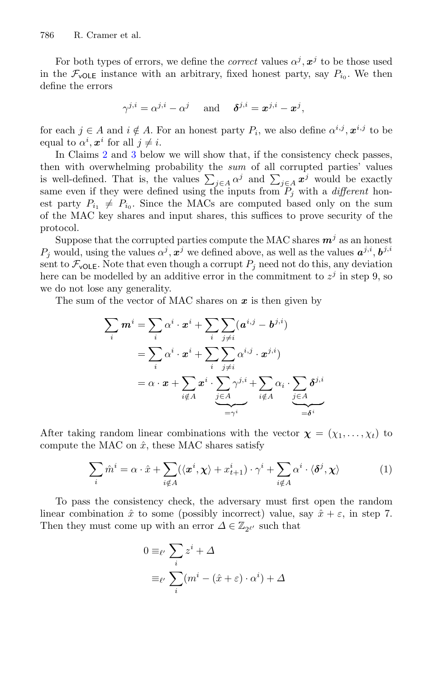For both types of errors, we define the *correct* values  $\alpha^{j}$ ,  $\alpha^{j}$  to be those used in the  $\mathcal{F}_{\text{vOLE}}$  instance with an arbitrary, fixed honest party, say  $P_{i0}$ . We then define the errors

$$
\gamma^{j,i} = \alpha^{j,i} - \alpha^j \quad \text{and} \quad \delta^{j,i} = \boldsymbol{x}^{j,i} - \boldsymbol{x}^j,
$$

for each  $j \in A$  and  $i \notin A$ . For an honest party  $P_i$ , we also define  $\alpha^{i,j}$ ,  $\alpha^{i,j}$  to be equal to  $\alpha^i$ ,  $\boldsymbol{x}^i$  for all  $j \neq i$ .

In Claims [2](#page-18-0) and [3](#page-18-1) below we will show that, if the consistency check passes, then with overwhelming probability the *sum* of all corrupted parties' values is well-defined. That is, the values  $\sum_{j\in A} \alpha^j$  and  $\sum_{j\in A} x^j$  would be exactly same even if they were defined using the inputs from  $P_i$  with a *different* honest party  $P_{i_1} \neq P_{i_0}$ . Since the MACs are computed based only on the sum of the MAC key shares and input shares, this suffices to prove security of the protocol.

Suppose that the corrupted parties compute the MAC shares  $m<sup>j</sup>$  as an honest  $P_j$  would, using the values  $\alpha^j, x^j$  we defined above, as well as the values  $a^{j,i}, b^{j,i}$ sent to  $\mathcal{F}_{\text{vOLE}}$ . Note that even though a corrupt  $P_j$  need not do this, any deviation here can be modelled by an additive error in the commitment to  $z^{j}$  in step 9, so we do not lose any generality.

The sum of the vector of MAC shares on *x* is then given by

$$
\sum_{i} m^{i} = \sum_{i} \alpha^{i} \cdot x^{i} + \sum_{i} \sum_{j \neq i} (a^{i,j} - b^{j,i})
$$
\n
$$
= \sum_{i} \alpha^{i} \cdot x^{i} + \sum_{i} \sum_{j \neq i} \alpha^{i,j} \cdot x^{j,i})
$$
\n
$$
= \alpha \cdot x + \sum_{i \notin A} x^{i} \cdot \sum_{\substack{j \in A \\ j \in A}} \gamma^{j,i} + \sum_{i \notin A} \alpha_{i} \cdot \sum_{\substack{j \in A \\ j \in A}} \delta^{j,i}
$$

After taking random linear combinations with the vector  $\boldsymbol{\chi} = (\chi_1, \ldots, \chi_t)$  to compute the MAC on  $\hat{x}$ , these MAC shares satisfy

<span id="page-17-0"></span>
$$
\sum_{i} \hat{m}^{i} = \alpha \cdot \hat{x} + \sum_{i \notin A} (\langle x^{i}, \chi \rangle + x_{t+1}^{i}) \cdot \gamma^{i} + \sum_{i \notin A} \alpha^{i} \cdot \langle \delta^{j}, \chi \rangle \tag{1}
$$

To pass the consistency check, the adversary must first open the random linear combination  $\hat{x}$  to some (possibly incorrect) value, say  $\hat{x} + \varepsilon$ , in step 7. Then they must come up with an error  $\varDelta\in\mathbb{Z}_{2^{\ell'}}$  such that

$$
0 \equiv_{\ell'} \sum_{i} z^{i} + \Delta
$$

$$
\equiv_{\ell'} \sum_{i} (m^{i} - (\hat{x} + \varepsilon) \cdot \alpha^{i}) + \Delta
$$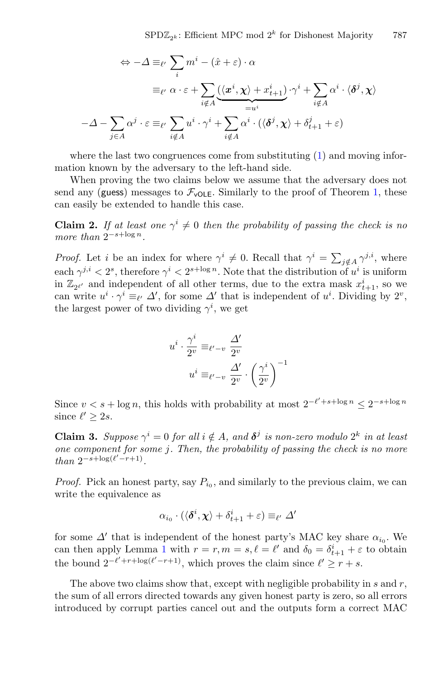$$
\Leftrightarrow -\Delta \equiv_{\ell'} \sum_{i} m^{i} - (\hat{x} + \varepsilon) \cdot \alpha
$$

$$
\equiv_{\ell'} \alpha \cdot \varepsilon + \sum_{i \notin A} (\langle x^{i}, \chi \rangle + x^{i}_{t+1}) \cdot \gamma^{i} + \sum_{i \notin A} \alpha^{i} \cdot \langle \delta^{j}, \chi \rangle
$$

$$
-\Delta - \sum_{j \in A} \alpha^{j} \cdot \varepsilon \equiv_{\ell'} \sum_{i \notin A} u^{i} \cdot \gamma^{i} + \sum_{i \notin A} \alpha^{i} \cdot (\langle \delta^{j}, \chi \rangle + \delta^{j}_{t+1} + \varepsilon)
$$

where the last two congruences come from substituting [\(1\)](#page-17-0) and moving information known by the adversary to the left-hand side.

When proving the two claims below we assume that the adversary does not send any (guess) messages to  $\mathcal{F}_{\text{vOLE}}$ . Similarly to the proof of Theorem [1,](#page-9-1) these can easily be extended to handle this case.

<span id="page-18-0"></span>**Claim 2.** *If at least one*  $\gamma^{i} \neq 0$  *then the probability of passing the check is no more than*  $2^{-s + \log n}$ .

*Proof.* Let i be an index for where  $\gamma^i \neq 0$ . Recall that  $\gamma^i = \sum_{j \notin A} \gamma^{j,i}$ , where each  $\gamma^{j,i} < 2^s$ , therefore  $\gamma^i < 2^{s+\log n}$ . Note that the distribution of  $u^i$  is uniform in  $\mathbb{Z}_{2^{\ell'}}$  and independent of all other terms, due to the extra mask  $x_{t+1}^i$ , so we can write  $u^i \cdot \gamma^i \equiv_{\ell'} \Delta'$ , for some  $\Delta'$  that is independent of  $u^i$ . Dividing by  $2^v$ , the largest power of two dividing  $\gamma^i$ , we get

$$
u^{i} \cdot \frac{\gamma^{i}}{2^{v}} \equiv_{\ell'-v} \frac{\Delta'}{2^{v}}
$$

$$
u^{i} \equiv_{\ell'-v} \frac{\Delta'}{2^{v}} \cdot \left(\frac{\gamma^{i}}{2^{v}}\right)^{-1}
$$

Since  $v < s + \log n$ , this holds with probability at most  $2^{-\ell' + s + \log n} \leq 2^{-s + \log n}$ since  $\ell' \geq 2s$ .

<span id="page-18-1"></span>**Claim 3.** Suppose  $\gamma^{i} = 0$  for all  $i \notin A$ , and  $\delta^{j}$  is non-zero modulo  $2^{k}$  in at least *one component for some* j*. Then, the probability of passing the check is no more*  $than \ 2^{-s + \log(\ell' - r + 1)}$ .

*Proof.* Pick an honest party, say  $P_{i_0}$ , and similarly to the previous claim, we can write the equivalence as

$$
\alpha_{i_0} \cdot (\langle \delta^i, \chi \rangle + \delta^i_{t+1} + \varepsilon) \equiv_{\ell'} \Delta'
$$

for some  $\Delta'$  that is independent of the honest party's MAC key share  $\alpha_{i_0}$ . We can then apply Lemma [1](#page-10-0) with  $r = r, m = s, \ell = \ell'$  and  $\delta_0 = \delta_{t+1}^i + \varepsilon$  to obtain the bound  $2^{-\ell' + r + \log(\ell' - r + 1)}$ , which proves the claim since  $\ell' \ge r + s$ .

The above two claims show that, except with negligible probability in  $s$  and  $r$ , the sum of all errors directed towards any given honest party is zero, so all errors introduced by corrupt parties cancel out and the outputs form a correct MAC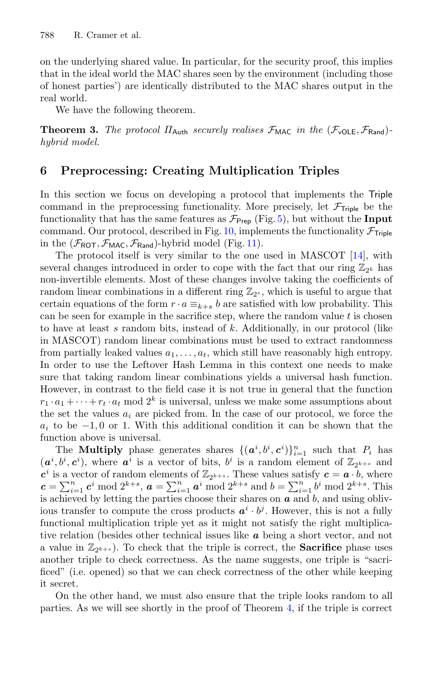on the underlying shared value. In particular, for the security proof, this implies that in the ideal world the MAC shares seen by the environment (including those of honest parties') are identically distributed to the MAC shares output in the real world.

We have the following theorem.

**Theorem 3.** *The protocol*  $\Pi_{\text{Auth}}$  *securely realises*  $\mathcal{F}_{\text{MAC}}$  *in the*  $(\mathcal{F}_{\text{VOLE}}, \mathcal{F}_{\text{Rand}})$ *hybrid model.*

# <span id="page-19-0"></span>**6 Preprocessing: Creating Multiplication Triples**

In this section we focus on developing a protocol that implements the Triple command in the preprocessing functionality. More precisely, let  $\mathcal{F}_{\text{Triple}}$  be the functionality that has the same features as  $\mathcal{F}_{\text{Prep}}$  (Fig. [5\)](#page-13-0), but without the **Input** command. Our protocol, described in Fig. [10,](#page-20-0) implements the functionality  $\mathcal{F}_{\text{Triple}}$ in the  $(\mathcal{F}_{\text{ROT}}, \mathcal{F}_{\text{MAC}}, \mathcal{F}_{\text{Rand}})$ -hybrid model (Fig. [11\)](#page-21-0).

The protocol itself is very similar to the one used in MASCOT [\[14](#page-29-0)], with several changes introduced in order to cope with the fact that our ring  $\mathbb{Z}_{2^k}$  has non-invertible elements. Most of these changes involve taking the coefficients of random linear combinations in a different ring  $\mathbb{Z}_{2^s}$ , which is useful to argue that certain equations of the form  $r \cdot a \equiv_{k+s} b$  are satisfied with low probability. This can be seen for example in the sacrifice step, where the random value  $t$  is chosen to have at least s random bits, instead of k. Additionally, in our protocol (like in MASCOT) random linear combinations must be used to extract randomness from partially leaked values  $a_1, \ldots, a_t$ , which still have reasonably high entropy. In order to use the Leftover Hash Lemma in this context one needs to make sure that taking random linear combinations yields a universal hash function. However, in contrast to the field case it is not true in general that the function  $r_1 \cdot a_1 + \cdots + r_t \cdot a_t$  mod  $2^k$  is universal, unless we make some assumptions about the set the values  $a_i$  are picked from. In the case of our protocol, we force the  $a_i$  to be  $-1, 0$  or 1. With this additional condition it can be shown that the function above is universal.

The **Multiply** phase generates shares  $\{(\boldsymbol{a}^i, b^i, \boldsymbol{c}^i)\}_{i=1}^n$  such that  $P_i$  has  $(a^i, b^i, c^i)$ , where  $a^i$  is a vector of bits,  $b^i$  is a random element of  $\mathbb{Z}_{2^{k+s}}$  and  $c^i$  is a vector of random elements of  $\mathbb{Z}_{2^{k+s}}$ . These values satisfy  $c = a \cdot b$ , where  $c = \sum_{i=1}^{n} c^{i} \mod 2^{k+s}, a = \sum_{i=1}^{n} a^{i} \mod 2^{k+s}$  and  $b = \sum_{i=1}^{n} b^{i} \mod 2^{k+s}$ . This is achieved by letting the parties choose their shares on *a* and b, and using oblivious transfer to compute the cross products  $a^i \cdot b^j$ . However, this is not a fully functional multiplication triple yet as it might not satisfy the right multiplicative relation (besides other technical issues like *a* being a short vector, and not a value in  $\mathbb{Z}_{2^{k+s}}$ ). To check that the triple is correct, the **Sacrifice** phase uses another triple to check correctness. As the name suggests, one triple is "sacrificed" (i.e. opened) so that we can check correctness of the other while keeping it secret.

On the other hand, we must also ensure that the triple looks random to all parties. As we will see shortly in the proof of Theorem [4,](#page-21-1) if the triple is correct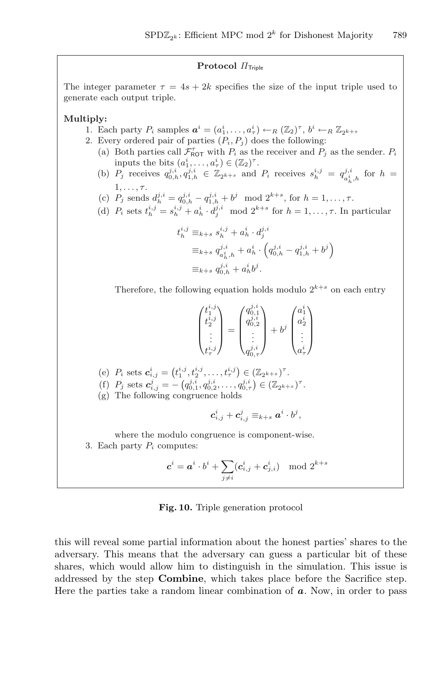### **Protocol** Π<sub>Triple</sub>

The integer parameter  $\tau = 4s + 2k$  specifies the size of the input triple used to generate each output triple.

#### **Multiply:**

- 1. Each party  $P_i$  samples  $\boldsymbol{a}^i = (a_1^i, \ldots, a_\tau^i) \leftarrow_R (\mathbb{Z}_2)^\tau, b^i \leftarrow_R \mathbb{Z}_{2^{k+s}}$
- 2. Every ordered pair of parties  $(P_i, P_j)$  does the following:
	- (a) Both parties call  $\mathcal{F}_{\text{NOT}}^{\tau}$  with  $P_i$  as the receiver and  $P_j$  as the sender.  $P_i$ inputs the bits  $(a_1^i, \ldots, a_\tau^i) \in (\mathbb{Z}_2)^\tau$ .
	- (b)  $P_j$  receives  $q_{0,h}^{j,i}, q_{1,h}^{j,i} \in \mathbb{Z}_{2^{k+s}}$  and  $P_i$  receives  $s_h^{i,j} = q_{a_h^i,h}^{j,i}$  for  $h =$  $1,\ldots,\tau$ .
	- (c)  $P_j$  sends  $d_h^{j,i} = q_{0,h}^{j,i} q_{1,h}^{j,i} + b^j \mod 2^{k+s}$ , for  $h = 1, ..., \tau$ .

(d) 
$$
P_i
$$
 sets  $t_h^{i,j} = s_h^{i,j} + a_h^i \cdot d_j^{j,i}$  mod  $2^{k+s}$  for  $h = 1, \ldots, \tau$ . In particular

$$
t_h^{i,j} \equiv_{k+s} s_h^{i,j} + a_h^i \cdot d_j^{j,i}
$$
  
\n
$$
\equiv_{k+s} q_{a_h^i,h}^{j,i} + a_h^i \cdot \left( q_{0,h}^{j,i} - q_{1,h}^{j,i} + b^j \right)
$$
  
\n
$$
\equiv_{k+s} q_{0,h}^{j,i} + a_h^i b^j.
$$

Therefore, the following equation holds modulo  $2^{k+s}$  on each entry

| $\iota^i$<br>٠<br>$\iota^{\imath,\jmath}$ | $\sigma^{J,1}$<br>∠<br>υ, | ьĴ | $\overline{a}$<br>$a_2$<br>$a_{\tau}$ |
|-------------------------------------------|---------------------------|----|---------------------------------------|
|-------------------------------------------|---------------------------|----|---------------------------------------|

(e)  $P_i$  sets  $\mathbf{c}_{i,j}^i = (t_1^{i,j}, t_2^{i,j}, \dots, t_\tau^{i,j}) \in (\mathbb{Z}_{2^{k+s}})^{\tau}.$ 

- (f)  $P_j$  sets  $\boldsymbol{c}_{i,j}^j = -\left(q_{0,1}^{j,i}, q_{0,2}^{j,i}, \ldots, q_{0,\tau}^{j,i}\right) \in (\mathbb{Z}_{2^{k+s}})^{\tau}$ .
- (g) The following congruence holds

$$
\boldsymbol{c}_{i,j}^i+\boldsymbol{c}_{i,j}^j\equiv_{k+s}\boldsymbol{a}^i\cdot b^j,
$$

where the modulo congruence is component-wise.

3. Each party  $P_i$  computes:

$$
\boldsymbol{c}^i = \boldsymbol{a}^i\cdot b^i + \sum_{j\neq i} (\boldsymbol{c}^i_{i,j} + \boldsymbol{c}^i_{j,i}) \mod 2^{k+s}
$$

#### <span id="page-20-0"></span>**Fig. 10.** Triple generation protocol

this will reveal some partial information about the honest parties' shares to the adversary. This means that the adversary can guess a particular bit of these shares, which would allow him to distinguish in the simulation. This issue is addressed by the step **Combine**, which takes place before the Sacrifice step. Here the parties take a random linear combination of *a*. Now, in order to pass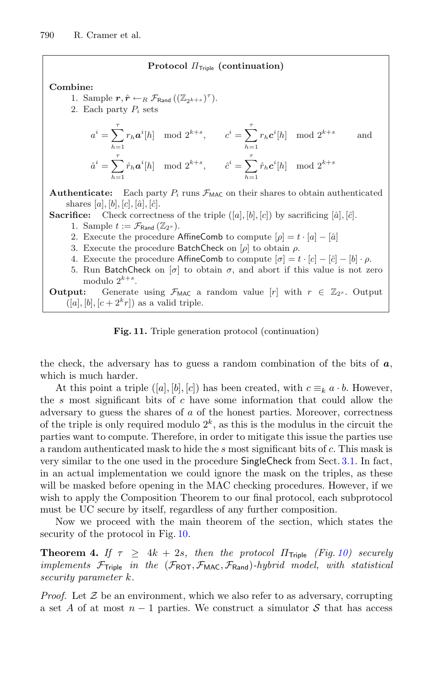#### **Protocol**  $\Pi$ <sub>Triple</sub> (continuation)

#### **Combine:**

- 1. Sample  $\boldsymbol{r}, \hat{\boldsymbol{r}} \leftarrow_R \mathcal{F}_{\text{Rand}}((\mathbb{Z}_{2^{k+s}})^{\tau}).$
- 2. Each party  $P_i$  sets

$$
a^{i} = \sum_{h=1}^{\tau} r_{h} a^{i}[h] \mod 2^{k+s}, \qquad c^{i} = \sum_{h=1}^{\tau} r_{h} c^{i}[h] \mod 2^{k+s} \qquad \text{and}
$$

$$
\hat{a}^{i} = \sum_{h=1}^{\tau} \hat{r}_{h} a^{i}[h] \mod 2^{k+s}, \qquad \hat{c}^{i} = \sum_{h=1}^{\tau} \hat{r}_{h} c^{i}[h] \mod 2^{k+s}
$$

**Authenticate:** Each party  $P_i$  runs  $\mathcal{F}_{MAC}$  on their shares to obtain authenticated shares [a], [b], [c], [â], [ĉ].

- **Sacrifice:** Check correctness of the triple  $([a], [b], [c])$  by sacrificing  $[\hat{a}], [\hat{c}]$ .
	- 1. Sample  $t := \mathcal{F}_{\text{Rand}}(\mathbb{Z}_{2^s}).$
	- 2. Execute the procedure AffineComb to compute  $[\rho] = t \cdot [a] [\hat{a}]$
	- 3. Execute the procedure BatchCheck on  $[\rho]$  to obtain  $\rho$ .
	- 4. Execute the procedure AffineComb to compute  $[\sigma] = t \cdot [c] [\hat{c}] [b] \cdot \rho$ .
	- 5. Run BatchCheck on  $[\sigma]$  to obtain  $\sigma$ , and abort if this value is not zero modulo  $2^{k+s}$ .

**Output:** Generate using  $\mathcal{F}_{MAC}$  a random value  $[r]$  with  $r \in \mathbb{Z}_{2^s}$ . Output  $([a], [b], [c + 2<sup>k</sup> r])$  as a valid triple.

<span id="page-21-0"></span>**Fig. 11.** Triple generation protocol (continuation)

the check, the adversary has to guess a random combination of the bits of *a*, which is much harder.

At this point a triple  $([a], [b], [c])$  has been created, with  $c \equiv_k a \cdot b$ . However, the s most significant bits of  $c$  have some information that could allow the adversary to guess the shares of a of the honest parties. Moreover, correctness of the triple is only required modulo  $2^k$ , as this is the modulus in the circuit the parties want to compute. Therefore, in order to mitigate this issue the parties use a random authenticated mask to hide the s most significant bits of c. This mask is very similar to the one used in the procedure SingleCheck from Sect. [3.1.](#page-6-1) In fact, in an actual implementation we could ignore the mask on the triples, as these will be masked before opening in the MAC checking procedures. However, if we wish to apply the Composition Theorem to our final protocol, each subprotocol must be UC secure by itself, regardless of any further composition.

<span id="page-21-1"></span>Now we proceed with the main theorem of the section, which states the security of the protocol in Fig. [10.](#page-20-0)

**Theorem 4.** If  $\tau \geq 4k + 2s$ , then the protocol  $\Pi_{\text{Triple}}$  (Fig. [10\)](#page-20-0) securely *implements* <sup>F</sup>Triple *in the* (FROT, <sup>F</sup>MAC, <sup>F</sup>Rand)*-hybrid model, with statistical security parameter* k*.*

*Proof.* Let  $\mathcal Z$  be an environment, which we also refer to as adversary, corrupting a set A of at most  $n-1$  parties. We construct a simulator S that has access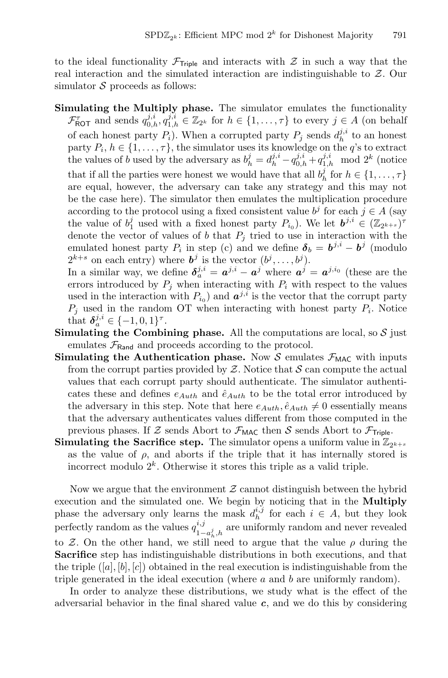to the ideal functionality  $\mathcal{F}_{\text{Triple}}$  and interacts with  $\mathcal Z$  in such a way that the real interaction and the simulated interaction are indistinguishable to Z. Our simulator  $S$  proceeds as follows:

**Simulating the Multiply phase.** The simulator emulates the functionality  $\mathcal{F}_{\text{ROT}}^{\tau}$  and sends  $q_{0,h}^{j,i}, q_{1,h}^{j,i} \in \mathbb{Z}_{2^k}$  for  $h \in \{1, \ldots, \tau\}$  to every  $j \in A$  (on behalf of each honest party  $P_i$ ). When a corrupted party  $P_j$  sends  $d_h^{j,i}$  to an honest party  $P_i, h \in \{1, \ldots, \tau\}$ , the simulator uses its knowledge on the q's to extract the values of b used by the adversary as  $b_h^j = d_h^{j,i} - q_{0,h}^{j,i} + q_{1,h}^{j,i} \mod 2^k$  (notice that if all the parties were honest we would have that all  $b_h^j$  for  $h \in \{1, \ldots, \tau\}$ are equal, however, the adversary can take any strategy and this may not be the case here). The simulator then emulates the multiplication procedure according to the protocol using a fixed consistent value  $b^j$  for each  $j \in A$  (say the value of  $b_1^j$  used with a fixed honest party  $P_{i_0}$ ). We let  $\mathbf{b}^{j,i} \in (\mathbb{Z}_{2^{k+s}})^{\tau}$ denote the vector of values of b that  $P_i$  tried to use in interaction with the emulated honest party  $P_i$  in step (c) and we define  $\delta_b = b^{j,i} - b^j$  (modulo  $2^{k+s}$  on each entry) where  $\boldsymbol{b}^j$  is the vector  $(b^j, \ldots, b^j)$ .

In a similar way, we define  $\delta_a^{j,i} = a^{j,i} - a^j$  where  $a^j = a^{j,i_0}$  (these are the errors introduced by  $P_j$  when interacting with  $P_i$  with respect to the values used in the interaction with  $P_{i_0}$ ) and  $a^{j,i}$  is the vector that the corrupt party  $P_i$  used in the random OT when interacting with honest party  $P_i$ . Notice that  $\delta_a^{j,i} \in \{-1,0,1\}^{\tau}$ .

- **Simulating the Combining phase.** All the computations are local, so  $S$  just emulates  $\mathcal{F}_{\text{Rand}}$  and proceeds according to the protocol.
- **Simulating the Authentication phase.** Now S emulates  $\mathcal{F}_{MAC}$  with inputs from the corrupt parties provided by  $Z$ . Notice that  $S$  can compute the actual values that each corrupt party should authenticate. The simulator authenticates these and defines  $e_{Auth}$  and  $\hat{e}_{Auth}$  to be the total error introduced by the adversary in this step. Note that here  $e_{Auth}$ ,  $\hat{e}_{Auth} \neq 0$  essentially means that the adversary authenticates values different from those computed in the previous phases. If Z sends Abort to  $\mathcal{F}_{\text{MAC}}$  then S sends Abort to  $\mathcal{F}_{\text{Triple}}$ .
- **Simulating the Sacrifice step.** The simulator opens a uniform value in  $\mathbb{Z}_{2^{k+s}}$ as the value of  $\rho$ , and aborts if the triple that it has internally stored is incorrect modulo  $2^k$ . Otherwise it stores this triple as a valid triple.

Now we argue that the environment  $\mathcal Z$  cannot distinguish between the hybrid execution and the simulated one. We begin by noticing that in the **Multiply** phase the adversary only learns the mask  $d_h^{i,j}$  for each  $i \in A$ , but they look perfectly random as the values  $q_{1-a_h^j,h}^{i,j}$  are uniformly random and never revealed to Z. On the other hand, we still need to argue that the value  $\rho$  during the **Sacrifice** step has indistinguishable distributions in both executions, and that the triple  $([a], [b], [c])$  obtained in the real execution is indistinguishable from the triple generated in the ideal execution (where  $a$  and  $b$  are uniformly random).

In order to analyze these distributions, we study what is the effect of the adversarial behavior in the final shared value *c*, and we do this by considering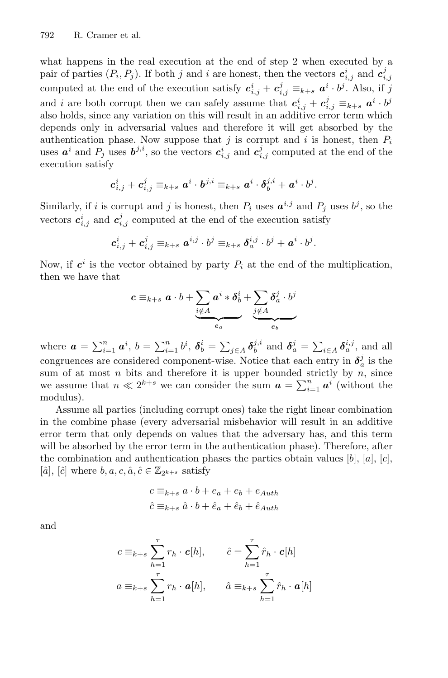what happens in the real execution at the end of step 2 when executed by a pair of parties  $(P_i, P_j)$ . If both j and i are honest, then the vectors  $c_{i,j}^i$  and  $c_{i,j}^j$ computed at the end of the execution satisfy  $c_{i,j}^i + c_{i,j}^j \equiv_{k+s} a^i \cdot b^j$ . Also, if j and *i* are both corrupt then we can safely assume that  $c_{i,j}^i + c_{i,j}^j \equiv_{k+s} a^i \cdot b^j$ also holds, since any variation on this will result in an additive error term which depends only in adversarial values and therefore it will get absorbed by the authentication phase. Now suppose that  $j$  is corrupt and  $i$  is honest, then  $P_i$ uses  $a^i$  and  $P_j$  uses  $b^{j,i}$ , so the vectors  $c^i_{i,j}$  and  $c^j_{i,j}$  computed at the end of the execution satisfy

$$
\boldsymbol{c}^i_{i,j} + \boldsymbol{c}^j_{i,j} \equiv_{k+s} \boldsymbol{a}^i \cdot \boldsymbol{b}^{j,i} \equiv_{k+s} \boldsymbol{a}^i \cdot \boldsymbol{\delta}^{j,i}_b + \boldsymbol{a}^i \cdot b^j.
$$

Similarly, if i is corrupt and j is honest, then  $P_i$  uses  $a^{i,j}$  and  $P_j$  uses  $b^j$ , so the vectors  $c_{i,j}^i$  and  $c_{i,j}^j$  computed at the end of the execution satisfy

$$
\boldsymbol{c}^i_{i,j} + \boldsymbol{c}^j_{i,j} \equiv_{k+s} \boldsymbol{a}^{i,j} \cdot b^j \equiv_{k+s} \boldsymbol{\delta}^{i,j}_a \cdot b^j + \boldsymbol{a}^i \cdot b^j.
$$

Now, if  $c^i$  is the vector obtained by party  $P_i$  at the end of the multiplication, then we have that

$$
c \equiv_{k+s} a \cdot b + \underbrace{\sum_{i \notin A} a^i * \delta^i_b + \sum_{j \notin A} \delta^j_a \cdot b^j}_{e_a}
$$

where  $\boldsymbol{a} = \sum_{i=1}^n \boldsymbol{a}^i$ ,  $b = \sum_{i=1}^n b^i$ ,  $\boldsymbol{\delta}_b^i = \sum_{j \in A} \boldsymbol{\delta}_b^{j,i}$  and  $\boldsymbol{\delta}_a^j = \sum_{i \in A} \boldsymbol{\delta}_a^{i,j}$ , and all congruences are considered component-wise. Notice that each entry in  $\delta_a^j$  is the sum of at most  $n$  bits and therefore it is upper bounded strictly by  $n$ , since we assume that  $n \ll 2^{k+s}$  we can consider the sum  $\boldsymbol{a} = \sum_{i=1}^n \boldsymbol{a}^i$  (without the modulus).

Assume all parties (including corrupt ones) take the right linear combination in the combine phase (every adversarial misbehavior will result in an additive error term that only depends on values that the adversary has, and this term will be absorbed by the error term in the authentication phase). Therefore, after the combination and authentication phases the parties obtain values  $[b], [a], [c],$  $[\hat{a}], [\hat{c}]$  where  $b, a, c, \hat{a}, \hat{c} \in \mathbb{Z}_{2^{k+s}}$  satisfy

$$
c \equiv_{k+s} a \cdot b + e_a + e_b + e_{Auth}
$$
  

$$
\hat{c} \equiv_{k+s} \hat{a} \cdot b + \hat{e}_a + \hat{e}_b + \hat{e}_{Auth}
$$

and

$$
c \equiv_{k+s} \sum_{h=1}^{\tau} r_h \cdot \mathbf{c}[h], \qquad \hat{c} = \sum_{h=1}^{\tau} \hat{r}_h \cdot \mathbf{c}[h]
$$

$$
a \equiv_{k+s} \sum_{h=1}^{\tau} r_h \cdot \mathbf{a}[h], \qquad \hat{a} \equiv_{k+s} \sum_{h=1}^{\tau} \hat{r}_h \cdot \mathbf{a}[h]
$$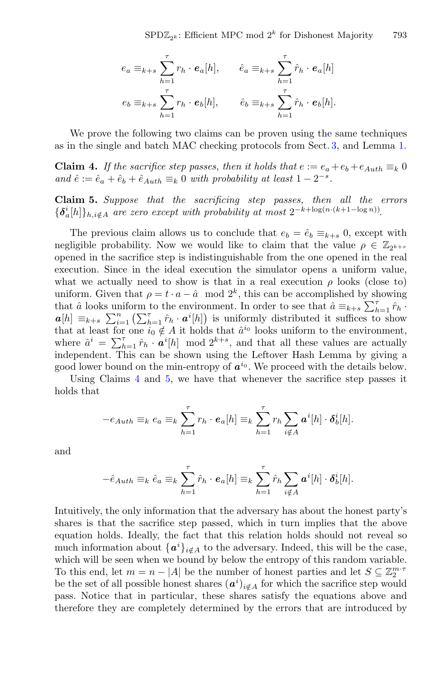$$
e_a \equiv_{k+s} \sum_{h=1}^{\tau} r_h \cdot e_a[h], \qquad \hat{e}_a \equiv_{k+s} \sum_{h=1}^{\tau} \hat{r}_h \cdot e_a[h]
$$

$$
e_b \equiv_{k+s} \sum_{h=1}^{\tau} r_h \cdot e_b[h], \qquad \hat{e}_b \equiv_{k+s} \sum_{h=1}^{\tau} \hat{r}_h \cdot e_b[h].
$$

We prove the following two claims can be proven using the same techniques as in the single and batch MAC checking protocols from Sect. [3,](#page-5-0) and Lemma [1.](#page-10-0)

<span id="page-24-0"></span>**Claim 4.** *If the sacrifice step passes, then it holds that*  $e := e_a + e_b + e_{Auth} \equiv_k 0$ *and*  $\hat{e} := \hat{e}_a + \hat{e}_b + \hat{e}_{Auth} \equiv_k 0$  *with probability at least*  $1 - 2^{-s}$ *.* 

<span id="page-24-1"></span>**Claim 5.** *Suppose that the sacrificing step passes, then all the errors*  ${\delta_a^i[h]}\}_{h,i \notin A}$  *are zero except with probability at most*  $2^{-k + \log(n \cdot (k+1-\log n))}$ .

The previous claim allows us to conclude that  $e_b = \hat{e}_b \equiv_{k+s} 0$ , except with negligible probability. Now we would like to claim that the value  $\rho \in \mathbb{Z}_{2^{k+s}}$ opened in the sacrifice step is indistinguishable from the one opened in the real execution. Since in the ideal execution the simulator opens a uniform value, what we actually need to show is that in a real execution  $\rho$  looks (close to) uniform. Given that  $\rho = t \cdot a - \hat{a} \mod 2^k$ , this can be accomplished by showing that  $\hat{a}$  looks uniform to the environment. In order to see that  $\hat{a} \equiv_{k+s} \sum_{h=1}^{\tau} \hat{r}_h$ .  $a[h] \equiv_{k+s} \sum_{i=1}^n (\sum_{h=1}^{\tau} \hat{r}_h \cdot a^i[h])$  is uniformly distributed it suffices to show that at least for one  $i_0 \notin A$  it holds that  $\hat{a}^{i_0}$  looks uniform to the environment, where  $\hat{a}^i = \sum_{n=1}^{\tau} \hat{r}_h \cdot \boldsymbol{a}^i[h] \mod 2^{k+s}$ , and that all these values are actually independent. This can be shown using the Leftover Hash Lemma by giving a good lower bound on the min-entropy of  $a^{i_0}$ . We proceed with the details below.

Using Claims [4](#page-24-0) and [5,](#page-24-1) we have that whenever the sacrifice step passes it holds that

$$
-e_{Auth} \equiv_k e_a \equiv_k \sum_{h=1}^{\tau} r_h \cdot e_a[h] \equiv_k \sum_{h=1}^{\tau} r_h \sum_{i \notin A} a^i[h] \cdot \delta_b^i[h].
$$

and

$$
-\hat{e}_{Auth} \equiv_k \hat{e}_a \equiv_k \sum_{h=1}^{\tau} \hat{r}_h \cdot \mathbf{e}_a[h] \equiv_k \sum_{h=1}^{\tau} \hat{r}_h \sum_{i \notin A} \mathbf{a}^i[h] \cdot \delta_b^i[h].
$$

Intuitively, the only information that the adversary has about the honest party's shares is that the sacrifice step passed, which in turn implies that the above equation holds. Ideally, the fact that this relation holds should not reveal so much information about  $\{a^i\}_{i \notin A}$  to the adversary. Indeed, this will be the case, which will be seen when we bound by below the entropy of this random variable. To this end, let  $m = n - |A|$  be the number of honest parties and let  $S \subseteq \mathbb{Z}_2^{m \cdot \tau}$ be the set of all possible honest shares  $(a^i)_{i \notin A}$  for which the sacrifice step would pass. Notice that in particular, these shares satisfy the equations above and therefore they are completely determined by the errors that are introduced by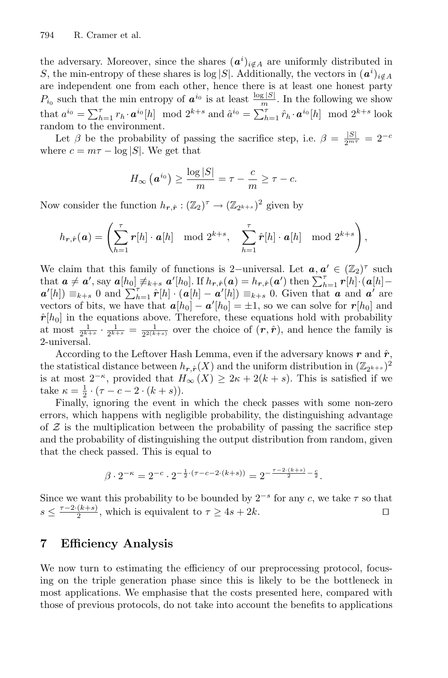the adversary. Moreover, since the shares  $(a^i)_{i \notin A}$  are uniformly distributed in S, the min-entropy of these shares is log |S|. Additionally, the vectors in  $(a^i)_{i \notin A}$ are independent one from each other, hence there is at least one honest party  $P_{i_0}$  such that the min entropy of  $a^{i_0}$  is at least  $\frac{\log |S|}{m}$ . In the following we show that  $a^{i_0} = \sum_{h=1}^{\tau} r_h \cdot a^{i_0}[h] \mod 2^{k+s}$  and  $\hat{a}^{i_0} = \sum_{h=1}^{\tau} \hat{r}_h \cdot a^{i_0}[h] \mod 2^{k+s}$  look random to the environment.

Let  $\beta$  be the probability of passing the sacrifice step, i.e.  $\beta = \frac{|S|}{2^{m\tau}} = 2^{-c}$ where  $c = m\tau - \log |S|$ . We get that

$$
H_{\infty}\left(\boldsymbol{a}^{i_0}\right) \geq \frac{\log|S|}{m} = \tau - \frac{c}{m} \geq \tau - c.
$$

Now consider the function  $h_{r,\hat{r}}:(\mathbb{Z}_2)^{\tau}\to (\mathbb{Z}_{2^{k+s}})^2$  given by

$$
h_{\boldsymbol{r},\hat{\boldsymbol{r}}}(\boldsymbol{a}) = \left(\sum_{h=1}^{\tau} \boldsymbol{r}[h] \cdot \boldsymbol{a}[h] \mod 2^{k+s}, \sum_{h=1}^{\tau} \hat{\boldsymbol{r}}[h] \cdot \boldsymbol{a}[h] \mod 2^{k+s}\right),
$$

We claim that this family of functions is 2−universal. Let  $a, a' \in (\mathbb{Z}_2)^{\tau}$  such that  $\boldsymbol{a} \neq \boldsymbol{a}'$ , say  $\boldsymbol{a}[h_0] \neq k+s$ ,  $\boldsymbol{a}'[h_0]$ . If  $h_{r,\hat{r}}(\boldsymbol{a}) = h_{r,\hat{r}}(\boldsymbol{a}')$  then  $\sum_{h=1}^{\tau} r[h] \cdot (\boldsymbol{a}[h]$  $a'[h]$  =  $_{k+s}$  0 and  $\sum_{h=1}^{r} \hat{r}[h] \cdot (a[h] - a'[h]) =_{k+s} 0$ . Given that *a* and *a*' are vectors of bits, we have that  $a[h_0] - a'[h_0] = \pm 1$ , so we can solve for  $r[h_0]$  and  $\hat{\mathbf{r}}[h_0]$  in the equations above. Therefore, these equations hold with probability at most  $\frac{1}{2^{k+s}} \cdot \frac{1}{2^{k+s}} = \frac{1}{2^{2(k+s)}}$  over the choice of  $(r, \hat{r})$ , and hence the family is 2-universal.

According to the Leftover Hash Lemma, even if the adversary knows  $r$  and  $\hat{r}$ , the statistical distance between  $h_{r,\hat{r}}(X)$  and the uniform distribution in  $(\mathbb{Z}_{2^{k+s}})^2$ is at most  $2^{-\kappa}$ , provided that  $H_{\infty}(X) \geq 2\kappa + 2(k + s)$ . This is satisfied if we take  $\kappa = \frac{1}{2} \cdot (\tau - c - 2 \cdot (k + s)).$ 

Finally, ignoring the event in which the check passes with some non-zero errors, which happens with negligible probability, the distinguishing advantage of  $\mathcal Z$  is the multiplication between the probability of passing the sacrifice step and the probability of distinguishing the output distribution from random, given that the check passed. This is equal to

$$
\beta \cdot 2^{-\kappa} = 2^{-c} \cdot 2^{-\frac{1}{2} \cdot (\tau - c - 2 \cdot (k + s))} = 2^{-\frac{\tau - 2 \cdot (k + s)}{2} - \frac{c}{2}}.
$$

Since we want this probability to be bounded by  $2^{-s}$  for any c, we take  $\tau$  so that  $s \leq \frac{\tau - 2 \cdot (k+s)}{2}$ , which is equivalent to  $\tau \geq 4s + 2k$ .

# <span id="page-25-0"></span>**7 Efficiency Analysis**

We now turn to estimating the efficiency of our preprocessing protocol, focusing on the triple generation phase since this is likely to be the bottleneck in most applications. We emphasise that the costs presented here, compared with those of previous protocols, do not take into account the benefits to applications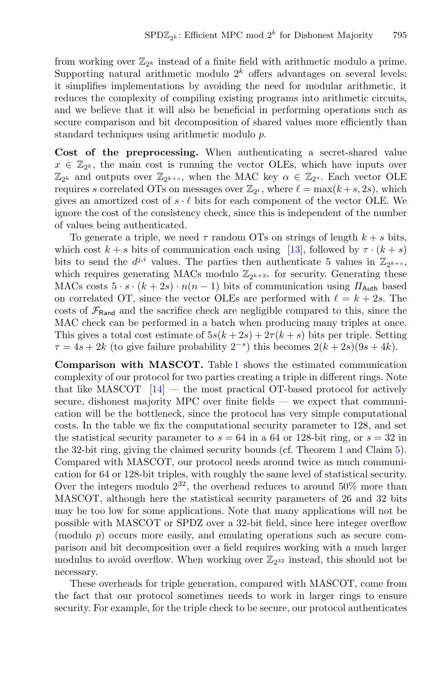from working over  $\mathbb{Z}_{2^k}$  instead of a finite field with arithmetic modulo a prime. Supporting natural arithmetic modulo  $2<sup>k</sup>$  offers advantages on several levels: it simplifies implementations by avoiding the need for modular arithmetic, it reduces the complexity of compiling existing programs into arithmetic circuits, and we believe that it will also be beneficial in performing operations such as secure comparison and bit decomposition of shared values more efficiently than standard techniques using arithmetic modulo p.

**Cost of the preprocessing.** When authenticating a secret-shared value  $x \in \mathbb{Z}_{2^k}$ , the main cost is running the vector OLEs, which have inputs over  $\mathbb{Z}_{2^k}$  and outputs over  $\mathbb{Z}_{2^{k+s}}$ , when the MAC key  $\alpha \in \mathbb{Z}_{2^s}$ . Each vector OLE requires s correlated OTs on messages over  $\mathbb{Z}_{2^{\ell}}$ , where  $\ell = \max(k+s, 2s)$ , which gives an amortized cost of  $s \cdot \ell$  bits for each component of the vector OLE. We ignore the cost of the consistency check, since this is independent of the number of values being authenticated.

To generate a triple, we need  $\tau$  random OTs on strings of length  $k + s$  bits, which cost  $k + s$  bits of communication each using [\[13\]](#page-28-8), followed by  $\tau \cdot (k + s)$ bits to send the  $d^{j,i}$  values. The parties then authenticate 5 values in  $\mathbb{Z}_{2^{k+s}}$ , which requires generating MACs modulo  $\mathbb{Z}_{2k+2s}$  for security. Generating these MACs costs  $5 \cdot s \cdot (k+2s) \cdot n(n-1)$  bits of communication using  $\Pi_{\text{Auth}}$  based on correlated OT, since the vector OLEs are performed with  $\ell = k + 2s$ . The costs of  $\mathcal{F}_{\text{Rand}}$  and the sacrifice check are negligible compared to this, since the MAC check can be performed in a batch when producing many triples at once. This gives a total cost estimate of  $5s(k+2s)+2\tau(k+s)$  bits per triple. Setting  $\tau = 4s + 2k$  (to give failure probability  $2^{-s}$ ) this becomes  $2(k+2s)(9s+4k)$ .

**Comparison with MASCOT.** Table [1](#page-27-0) shows the estimated communication complexity of our protocol for two parties creating a triple in different rings. Note that like MASCOT  $[14]$  $[14]$  — the most practical OT-based protocol for actively secure, dishonest majority MPC over finite fields — we expect that communication will be the bottleneck, since the protocol has very simple computational costs. In the table we fix the computational security parameter to 128, and set the statistical security parameter to  $s = 64$  in a 64 or 128-bit ring, or  $s = 32$  in the 32-bit ring, giving the claimed security bounds (cf. Theorem [1](#page-9-1) and Claim [5\)](#page-24-1). Compared with MASCOT, our protocol needs around twice as much communication for 64 or 128-bit triples, with roughly the same level of statistical security. Over the integers modulo  $2^{32}$ , the overhead reduces to around 50% more than MASCOT, although here the statistical security parameters of 26 and 32 bits may be too low for some applications. Note that many applications will not be possible with MASCOT or SPDZ over a 32-bit field, since here integer overflow (modulo p) occurs more easily, and emulating operations such as secure comparison and bit decomposition over a field requires working with a much larger modulus to avoid overflow. When working over  $\mathbb{Z}_{2^{32}}$  instead, this should not be necessary.

These overheads for triple generation, compared with MASCOT, come from the fact that our protocol sometimes needs to work in larger rings to ensure security. For example, for the triple check to be secure, our protocol authenticates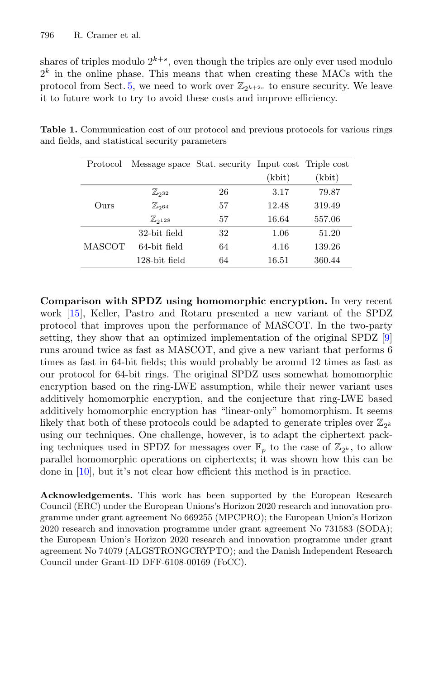shares of triples modulo  $2^{k+s}$ , even though the triples are only ever used modulo  $2<sup>k</sup>$  in the online phase. This means that when creating these MACs with the protocol from Sect. [5,](#page-14-0) we need to work over  $\mathbb{Z}_{2^{k+2s}}$  to ensure security. We leave it to future work to try to avoid these costs and improve efficiency.

<span id="page-27-0"></span>

|  | Protocol | Message space Stat. security Input cost Triple cost |    |        |        |
|--|----------|-----------------------------------------------------|----|--------|--------|
|  |          |                                                     |    | (kbit) | (kbit) |
|  |          | $\mathbb{Z}_{232}$                                  | 26 | 3.17   | 79.87  |
|  | Ours     | $\mathbb{Z}_{2^{64}}$                               | 57 | 12.48  | 319.49 |
|  |          | $\mathbb{Z}_{2128}$                                 | 57 | 16.64  | 557.06 |
|  |          | 32-bit field                                        | 32 | 1.06   | 51.20  |
|  | MASCOT   | 64-bit field                                        | 64 | 4.16   | 139.26 |
|  |          | $128$ -bit field                                    | 64 | 16.51  | 360.44 |

**Table 1.** Communication cost of our protocol and previous protocols for various rings and fields, and statistical security parameters

**Comparison with SPDZ using homomorphic encryption.** In very recent work [\[15](#page-29-2)], Keller, Pastro and Rotaru presented a new variant of the SPDZ protocol that improves upon the performance of MASCOT. In the two-party setting, they show that an optimized implementation of the original SPDZ [\[9](#page-28-2)] runs around twice as fast as MASCOT, and give a new variant that performs 6 times as fast in 64-bit fields; this would probably be around 12 times as fast as our protocol for 64-bit rings. The original SPDZ uses somewhat homomorphic encryption based on the ring-LWE assumption, while their newer variant uses additively homomorphic encryption, and the conjecture that ring-LWE based additively homomorphic encryption has "linear-only" homomorphism. It seems likely that both of these protocols could be adapted to generate triples over  $\mathbb{Z}_{2^k}$ using our techniques. One challenge, however, is to adapt the ciphertext packing techniques used in SPDZ for messages over  $\mathbb{F}_p$  to the case of  $\mathbb{Z}_{2^k}$ , to allow parallel homomorphic operations on ciphertexts; it was shown how this can be done in [\[10\]](#page-28-10), but it's not clear how efficient this method is in practice.

**Acknowledgements.** This work has been supported by the European Research Council (ERC) under the European Unions's Horizon 2020 research and innovation programme under grant agreement No 669255 (MPCPRO); the European Union's Horizon 2020 research and innovation programme under grant agreement No 731583 (SODA); the European Union's Horizon 2020 research and innovation programme under grant agreement No 74079 (ALGSTRONGCRYPTO); and the Danish Independent Research Council under Grant-ID DFF-6108-00169 (FoCC).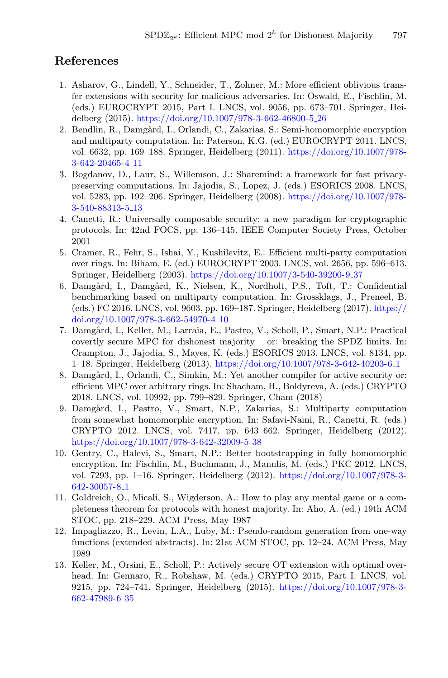# **References**

- 1. Asharov, G., Lindell, Y., Schneider, T., Zohner, M.: More efficient oblivious transfer extensions with security for malicious adversaries. In: Oswald, E., Fischlin, M. (eds.) EUROCRYPT 2015, Part I. LNCS, vol. 9056, pp. 673–701. Springer, Heidelberg (2015). [https://doi.org/10.1007/978-3-662-46800-5](https://doi.org/10.1007/978-3-662-46800-5_26) 26
- <span id="page-28-1"></span>2. Bendlin, R., Damgård, I., Orlandi, C., Zakarias, S.: Semi-homomorphic encryption and multiparty computation. In: Paterson, K.G. (ed.) EUROCRYPT 2011. LNCS, vol. 6632, pp. 169–188. Springer, Heidelberg (2011). [https://doi.org/10.1007/978-](https://doi.org/10.1007/978-3-642-20465-4_11) [3-642-20465-4](https://doi.org/10.1007/978-3-642-20465-4_11) 11
- <span id="page-28-4"></span>3. Bogdanov, D., Laur, S., Willemson, J.: Sharemind: a framework for fast privacypreserving computations. In: Jajodia, S., Lopez, J. (eds.) ESORICS 2008. LNCS, vol. 5283, pp. 192–206. Springer, Heidelberg (2008). [https://doi.org/10.1007/978-](https://doi.org/10.1007/978-3-540-88313-5_13) [3-540-88313-5](https://doi.org/10.1007/978-3-540-88313-5_13) 13
- <span id="page-28-0"></span>4. Canetti, R.: Universally composable security: a new paradigm for cryptographic protocols. In: 42nd FOCS, pp. 136–145. IEEE Computer Society Press, October 2001
- <span id="page-28-6"></span>5. Cramer, R., Fehr, S., Ishai, Y., Kushilevitz, E.: Efficient multi-party computation over rings. In: Biham, E. (ed.) EUROCRYPT 2003. LNCS, vol. 2656, pp. 596–613. Springer, Heidelberg (2003). [https://doi.org/10.1007/3-540-39200-9](https://doi.org/10.1007/3-540-39200-9_37) 37
- <span id="page-28-3"></span>6. Damgård, I., Damgård, K., Nielsen, K., Nordholt, P.S., Toft, T.: Confidential benchmarking based on multiparty computation. In: Grossklags, J., Preneel, B. (eds.) FC 2016. LNCS, vol. 9603, pp. 169–187. Springer, Heidelberg (2017). [https://](https://doi.org/10.1007/978-3-662-54970-4_10) [doi.org/10.1007/978-3-662-54970-4](https://doi.org/10.1007/978-3-662-54970-4_10) 10
- <span id="page-28-5"></span>7. Damgård, I., Keller, M., Larraia, E., Pastro, V., Scholl, P., Smart, N.P.: Practical covertly secure MPC for dishonest majority – or: breaking the SPDZ limits. In: Crampton, J., Jajodia, S., Mayes, K. (eds.) ESORICS 2013. LNCS, vol. 8134, pp. 1–18. Springer, Heidelberg (2013). [https://doi.org/10.1007/978-3-642-40203-6](https://doi.org/10.1007/978-3-642-40203-6_1) 1
- <span id="page-28-7"></span>8. Damgård, I., Orlandi, C., Simkin, M.: Yet another compiler for active security or: efficient MPC over arbitrary rings. In: Shacham, H., Boldyreva, A. (eds.) CRYPTO 2018. LNCS, vol. 10992, pp. 799–829. Springer, Cham (2018)
- <span id="page-28-2"></span>9. Damgård, I., Pastro, V., Smart, N.P., Zakarias, S.: Multiparty computation from somewhat homomorphic encryption. In: Safavi-Naini, R., Canetti, R. (eds.) CRYPTO 2012. LNCS, vol. 7417, pp. 643–662. Springer, Heidelberg (2012). [https://doi.org/10.1007/978-3-642-32009-5](https://doi.org/10.1007/978-3-642-32009-5_38)<sub>-38</sub>
- <span id="page-28-10"></span>10. Gentry, C., Halevi, S., Smart, N.P.: Better bootstrapping in fully homomorphic encryption. In: Fischlin, M., Buchmann, J., Manulis, M. (eds.) PKC 2012. LNCS, vol. 7293, pp. 1–16. Springer, Heidelberg (2012). [https://doi.org/10.1007/978-3-](https://doi.org/10.1007/978-3-642-30057-8_1) [642-30057-8](https://doi.org/10.1007/978-3-642-30057-8_1) 1
- <span id="page-28-9"></span>11. Goldreich, O., Micali, S., Wigderson, A.: How to play any mental game or a completeness theorem for protocols with honest majority. In: Aho, A. (ed.) 19th ACM STOC, pp. 218–229. ACM Press, May 1987
- 12. Impagliazzo, R., Levin, L.A., Luby, M.: Pseudo-random generation from one-way functions (extended abstracts). In: 21st ACM STOC, pp. 12–24. ACM Press, May 1989
- <span id="page-28-8"></span>13. Keller, M., Orsini, E., Scholl, P.: Actively secure OT extension with optimal overhead. In: Gennaro, R., Robshaw, M. (eds.) CRYPTO 2015, Part I. LNCS, vol. 9215, pp. 724–741. Springer, Heidelberg (2015). [https://doi.org/10.1007/978-3-](https://doi.org/10.1007/978-3-662-47989-6_35) [662-47989-6](https://doi.org/10.1007/978-3-662-47989-6_35) 35